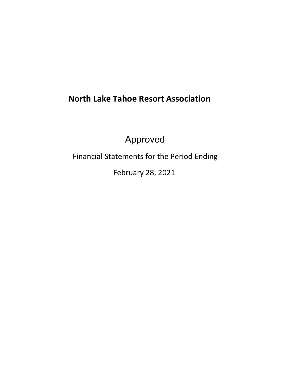# **North Lake Tahoe Resort Association**

Approved

Financial Statements for the Period Ending

February 28, 2021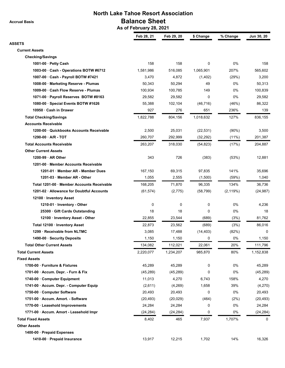**Accrual Basis**

# **North Lake Tahoe Resort Association Balance Sheet**

 **As of February 28, 2021**

|                                            | Feb 28, 21 | Feb 29, 20 | \$ Change | % Change  | Jun 30, 20 |
|--------------------------------------------|------------|------------|-----------|-----------|------------|
| <b>ASSETS</b>                              |            |            |           |           |            |
| <b>Current Assets</b>                      |            |            |           |           |            |
| <b>Checking/Savings</b>                    |            |            |           |           |            |
| 1001-00 · Petty Cash                       | 158        | 158        | 0         | 0%        | 158        |
| 1003-00 Cash - Operations BOTW #6712       | 1,581,986  | 516,085    | 1,065,901 | 207%      | 565,602    |
| 1007-00 · Cash - Payroll BOTW #7421        | 3,470      | 4,872      | (1, 402)  | (29%)     | 3,200      |
| 1008-00 · Marketing Reserve - Plumas       | 50,343     | 50,294     | 49        | 0%        | 50,313     |
| 1009-00 · Cash Flow Reserve - Plumas       | 100,934    | 100,785    | 149       | 0%        | 100,839    |
| 1071-00 · Payroll Reserves BOTW #8163      | 29,582     | 29,582     | 0         | 0%        | 29,582     |
| 1080-00 · Special Events BOTW #1626        | 55,388     | 102,104    | (46, 716) | (46%)     | 86,322     |
| 10950 · Cash in Drawer                     | 927        | 276        | 651       | 236%      | 139        |
| <b>Total Checking/Savings</b>              | 1,822,788  | 804,156    | 1,018,632 | 127%      | 836,155    |
| <b>Accounts Receivable</b>                 |            |            |           |           |            |
| 1200-00 Quickbooks Accounts Receivable     | 2,500      | 25,031     | (22, 531) | $(90\%)$  | 3,500      |
| 1290-00 - A/R - TOT                        | 260,707    | 292,999    | (32, 292) | $(11\%)$  | 201,387    |
| <b>Total Accounts Receivable</b>           | 263,207    | 318,030    | (54, 823) | (17%)     | 204,887    |
| <b>Other Current Assets</b>                |            |            |           |           |            |
| 1200-99 AR Other                           | 343        | 726        | (383)     | (53%)     | 12,881     |
| 1201-00 Member Accounts Receivable         |            |            |           |           |            |
| 1201-01 Member AR - Member Dues            | 167,150    | 69,315     | 97,835    | 141%      | 35,696     |
| 1201-03 Member AR - Other                  | 1,055      | 2,555      | (1,500)   | (59%)     | 1,040      |
| Total 1201-00 · Member Accounts Receivable | 168,205    | 71,870     | 96,335    | 134%      | 36,736     |
| 1201-02 · Allowance for Doubtful Accounts  | (61, 574)  | (2, 775)   | (58, 799) | (2, 119%) | (24, 987)  |
| 12100 · Inventory Asset                    |            |            |           |           |            |
| 1210-01 Inventory - Other                  | 0          | 0          | 0         | 0%        | 4,236      |
| 25300 · Gift Cards Outstanding             | 18         | 18         | 0         | 0%        | 18         |
| 12100 · Inventory Asset - Other            | 22,855     | 23,544     | (689)     | (3%)      | 81,762     |
| Total 12100 · Inventory Asset              | 22,873     | 23,562     | (689)     | (3%)      | 86,016     |
| 1299 Receivable from NLTMC                 | 3,085      | 17,488     | (14, 403) | (82%)     | 0          |
| 1490-00 · Security Deposits                | 1,150      | 1,150      | 0         | 0%        | 1,150      |
| <b>Total Other Current Assets</b>          | 134,082    | 112,021    | 22,061    | 20%       | 111,796    |
| <b>Total Current Assets</b>                | 2,220,077  | 1,234,207  | 985,870   | 80%       | 1,152,838  |
| <b>Fixed Assets</b>                        |            |            |           |           |            |
| 1700-00 Furniture & Fixtures               | 45,289     | 45,289     | 0         | 0%        | 45,289     |
| 1701-00 · Accum. Depr. - Furn & Fix        | (45, 289)  | (45, 289)  | 0         | 0%        | (45, 289)  |
| 1740-00 Computer Equipment                 | 11,013     | 4,270      | 6,743     | 158%      | 4,270      |
| 1741-00 · Accum. Depr. - Computer Equip    | (2,611)    | (4,269)    | 1,658     | 39%       | (4,270)    |
| 1750-00 Computer Software                  | 20,493     | 20,493     | 0         | 0%        | 20,493     |
| 1751-00 Accum. Amort. - Software           | (20, 493)  | (20, 029)  | (464)     | (2%)      | (20, 493)  |
| 1770-00 · Leasehold Improvements           | 24,284     | 24,284     | 0         | 0%        | 24,284     |
| 1771-00 · Accum. Amort - Leasehold Impr    | (24, 284)  | (24, 284)  | 0         | 0%        | (24,284)   |
| <b>Total Fixed Assets</b>                  | 8,402      | 465        | 7,937     | 1,707%    | 0          |
| <b>Other Assets</b>                        |            |            |           |           |            |
| 1400-00 · Prepaid Expenses                 |            |            |           |           |            |
|                                            |            |            |           |           |            |
| 1410-00 · Prepaid Insurance                | 13,917     | 12,215     | 1,702     | 14%       | 16,326     |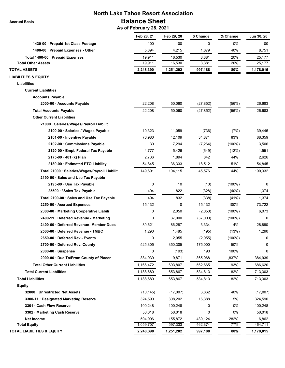# **North Lake Tahoe Resort Association Balance Sheet**

 **Accrual Basis**

 **As of February 28, 2021**

|                                               | Feb 28, 21 | Feb 29, 20 | \$ Change | % Change  | Jun 30, 20 |
|-----------------------------------------------|------------|------------|-----------|-----------|------------|
| 1430-00 · Prepaid 1st Class Postage           | 100        | 100        | 0         | 0%        | 100        |
| 1400-00 · Prepaid Expenses - Other            | 5,894      | 4,215      | 1,679     | 40%       | 8,751      |
| Total 1400-00 · Prepaid Expenses              | 19,911     | 16,530     | 3,381     | 20%       | 25,177     |
| <b>Total Other Assets</b>                     | 19,911     | 16,530     | 3,381     | 20%       | 25,177     |
| <b>TOTAL ASSETS</b>                           | 2,248,390  | 1,251,202  | 997,188   | 80%       | 1,178,015  |
| <b>LIABILITIES &amp; EQUITY</b>               |            |            |           |           |            |
| <b>Liabilities</b>                            |            |            |           |           |            |
| <b>Current Liabilities</b>                    |            |            |           |           |            |
| <b>Accounts Payable</b>                       |            |            |           |           |            |
| 2000-00 · Accounts Payable                    | 22,208     | 50,060     | (27, 852) | (56%)     | 26,683     |
| <b>Total Accounts Payable</b>                 | 22,208     | 50,060     | (27, 852) | (56%)     | 26,683     |
| <b>Other Current Liabilities</b>              |            |            |           |           |            |
| 21000 · Salaries/Wages/Payroll Liabilit       |            |            |           |           |            |
| 2100-00 · Salaries / Wages Payable            | 10,323     | 11.059     | (736)     | (7%)      | 39,445     |
| 2101-00 · Incentive Payable                   | 76,980     | 42,109     | 34,871    | 83%       | 88,359     |
| 2102-00 Commissions Payable                   | 30         | 7,294      | (7, 264)  | $(100\%)$ | 3,506      |
| 2120-00 · Empl. Federal Tax Payable           | 4,777      | 5,426      | (649)     | (12%)     | 1,551      |
| 2175-00 · 401 (k) Plan                        | 2,736      | 1,894      | 842       | 44%       | 2,626      |
| 2180-00 Estimated PTO Liability               | 54,845     | 36,333     | 18,512    | 51%       | 54,845     |
| Total 21000 · Salaries/Wages/Payroll Liabilit | 149,691    | 104,115    | 45,576    | 44%       | 190,332    |
| 2190-00 · Sales and Use Tax Payable           |            |            |           |           |            |
| 2195-00 · Use Tax Payable                     | 0          | 10         | (10)      | $(100\%)$ | 0          |
| 25500 *Sales Tax Payable                      | 494        | 822        | (328)     | (40%)     | 1,374      |
| Total 2190-00 · Sales and Use Tax Payable     | 494        | 832        | (338)     | (41%)     | 1,374      |
| 2250-00 Accrued Expenses                      | 15,132     | 0          | 15,132    | 100%      | 73,722     |
| 2300-00 · Marketing Cooperative Liabili       | 0          | 2,050      | (2,050)   | $(100\%)$ | 6,073      |
| 2400-11 · Deferred Revenue - Marketing        | 0          | 37,000     | (37,000)  | $(100\%)$ | $\Omega$   |
| 2400-60 Deferred Revenue- Member Dues         | 89,621     | 86,287     | 3,334     | 4%        | 28,890     |
| 2500-00 · Deferred Revenue - TMBC             | 1,290      | 1,485      | (195)     | (13%)     | 1,290      |
| 2650-00 Deferred Rev - Events                 | 0          | 2,055      | (2,055)   | $(100\%)$ | 0          |
| 2700-00 Deferred Rev. County                  | 525,305    | 350,305    | 175,000   | 50%       | 0          |
| 2800-00 · Suspense                            | 0          | (193)      | 193       | 100%      | 0          |
| 2900-00 Due To/From County of Placer          | 384,939    | 19,871     | 365,068   | 1,837%    | 384,939    |
| <b>Total Other Current Liabilities</b>        | 1,166,472  | 603,807    | 562,665   | 93%       | 686,620    |
| <b>Total Current Liabilities</b>              | 1,188,680  | 653,867    | 534,813   | 82%       | 713,303    |
| <b>Total Liabilities</b>                      | 1,188,680  | 653,867    | 534,813   | 82%       | 713,303    |
| <b>Equity</b>                                 |            |            |           |           |            |
| 32000 Unrestricted Net Assets                 | (10, 145)  | (17,007)   | 6,862     | 40%       | (17,007)   |
| 3300-11 Designated Marketing Reserve          | 324,590    | 308,202    | 16,388    | 5%        | 324,590    |
| 3301 Cash Flow Reserve                        | 100,248    | 100,248    | 0         | 0%        | 100,248    |
| 3302 · Marketing Cash Reserve                 | 50,018     | 50,018     | 0         | $0\%$     | 50,018     |
| <b>Net Income</b>                             | 594,996    | 155,872    | 439,124   | 282%      | 6,862      |
| <b>Total Equity</b>                           |            |            |           | 77%       |            |
|                                               | 1,059,707  | 597,333    | 462,374   |           | 464,711    |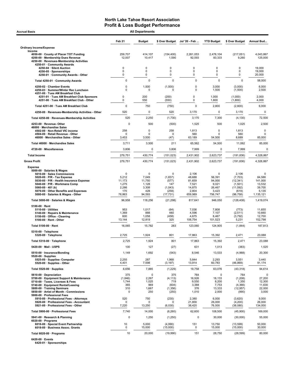| <b>Accrual Basis</b>                                                                                                                                                                                                                                                                                    |                                                                   | <b>All Departments</b>                                  |                                                                        |                                                                  |                                                              |                                                                             |                                                                  |
|---------------------------------------------------------------------------------------------------------------------------------------------------------------------------------------------------------------------------------------------------------------------------------------------------------|-------------------------------------------------------------------|---------------------------------------------------------|------------------------------------------------------------------------|------------------------------------------------------------------|--------------------------------------------------------------|-----------------------------------------------------------------------------|------------------------------------------------------------------|
|                                                                                                                                                                                                                                                                                                         | Feb <sub>21</sub>                                                 | <b>Budget</b>                                           | \$ Over Budget                                                         | Jul '20 - Feb                                                    | <b>YTD Budget</b>                                            | \$ Over Budget                                                              | Annual Bud                                                       |
| <b>Ordinary Income/Expense</b>                                                                                                                                                                                                                                                                          |                                                                   |                                                         |                                                                        |                                                                  |                                                              |                                                                             |                                                                  |
| Income<br>4050-00 County of Placer TOT Funding<br>4200-00 · Membership Dues Revenue<br>4250-00 · Revenues-Membership Activities                                                                                                                                                                         | 259,707<br>12,007                                                 | 414,107<br>10,417                                       | (154, 400)<br>1,590                                                    | 2,261,053<br>92,593                                              | 2,478,104<br>83,333                                          | (217, 051)<br>9,260                                                         | 4,043,867<br>125,000                                             |
| 4250-01 · Community Awards<br>4250-04 · Silent Auction                                                                                                                                                                                                                                                  | $\mathsf 0$                                                       | 0                                                       | 0                                                                      | 0                                                                | 0                                                            | 0                                                                           | 19,000                                                           |
| 4250-05 · Sponsorships<br>4250-01 Community Awards - Other                                                                                                                                                                                                                                              | 0<br>0                                                            | 0<br>0                                                  | $\mathbf 0$<br>0                                                       | 0<br>0                                                           | $\mathbf 0$<br>$\pmb{0}$                                     | $\mathbf 0$<br>0                                                            | 19,000<br>20,000                                                 |
| Total 4250-01 · Community Awards                                                                                                                                                                                                                                                                        | $\mathbf 0$                                                       | $\mathbf 0$                                             | $\mathbf 0$                                                            | $\Omega$                                                         | $\mathbf 0$                                                  | $\Omega$                                                                    | 58,000                                                           |
| 4250-02 · Chamber Events                                                                                                                                                                                                                                                                                | 0                                                                 | 1,500                                                   | (1,500)                                                                | 0                                                                | 3,000                                                        | (3,000)                                                                     | 6,000                                                            |
| 4250-03 · Summer/Winter Rec Luncheon<br>4251-00 · Tues AM Breakfast Club                                                                                                                                                                                                                                | 0                                                                 | $\Omega$                                                | O                                                                      | 0                                                                | 1,500                                                        | (1,500)                                                                     | 2,500                                                            |
| 4251-01 · Tues AM Breakfast Club Sponsors                                                                                                                                                                                                                                                               | 0                                                                 | 200                                                     | (200)                                                                  | 0                                                                | 1,000                                                        | (1,000)                                                                     | 2,000                                                            |
| 4251-00 · Tues AM Breakfast Club - Other                                                                                                                                                                                                                                                                | 0                                                                 | 550                                                     | (550)                                                                  | 0<br>$\Omega$                                                    | 1,800                                                        | (1,800)                                                                     | 4,000                                                            |
| Total 4251-00 · Tues AM Breakfast Club                                                                                                                                                                                                                                                                  | $\mathbf 0$                                                       | 750                                                     | (750)                                                                  |                                                                  | 2,800                                                        | (2,800)                                                                     | 6,000                                                            |
| 4250-00 · Revenues-Membership Activities - Other                                                                                                                                                                                                                                                        | 520                                                               | $\mathbf 0$                                             | 520                                                                    | 3,170                                                            | $\mathbf 0$                                                  | 3,170                                                                       | $\pmb{0}$                                                        |
| Total 4250-00 · Revenues-Membership Activities                                                                                                                                                                                                                                                          | 520                                                               | 2,250                                                   | (1,730)                                                                | 3,170                                                            | 7,300                                                        | (4, 130)                                                                    | 72,500                                                           |
| 4253-00 · Revenue-Other<br>46000 · Merchandise Sales                                                                                                                                                                                                                                                    | 0                                                                 | 500                                                     | (500)                                                                  | 1,525                                                            | 500                                                          | 1,025                                                                       | 2,500                                                            |
| 4502-00 · Non-Retail VIC income<br>4504-00 · Retail Revenue - Other                                                                                                                                                                                                                                     | 258<br>$\Omega$                                                   | 0<br>$\Omega$                                           | 258<br>$\Omega$                                                        | 1,813<br>560                                                     | 0<br>O                                                       | 1,813<br>560                                                                | 0<br><sup>0</sup>                                                |
| 46000 · Merchandise Sales - Other                                                                                                                                                                                                                                                                       | 3,453                                                             | 3,500                                                   | (47)                                                                   | 63,189                                                           | 54,500                                                       | 8,689                                                                       | 85,000                                                           |
| Total 46000 · Merchandise Sales                                                                                                                                                                                                                                                                         | 3,711                                                             | 3,500                                                   | 211                                                                    | 65,562                                                           | 54,500                                                       | 11,062                                                                      | 85,000                                                           |
| 4720-00 · Miscellaneous                                                                                                                                                                                                                                                                                 | 3,806                                                             | 0                                                       | 3,806                                                                  | 7,999                                                            | 0                                                            | 7,999                                                                       | 0                                                                |
| <b>Total Income</b>                                                                                                                                                                                                                                                                                     | 279,751                                                           | 430,774                                                 | (151, 023)                                                             | 2,431,902                                                        | 2,623,737                                                    | (191, 836)                                                                  | 4,328,867                                                        |
| <b>Gross Profit</b>                                                                                                                                                                                                                                                                                     | 279,751                                                           | 430,774                                                 | (151, 023)                                                             | 2,431,902                                                        | 2,623,737                                                    | (191, 836)                                                                  | 4,328,867                                                        |
| <b>Expense</b><br>5000-00 · Salaries & Wages<br>5010-00 · Sales Commissions<br>$5020.00 \cdot P/R$ - Tax Expense<br>5030-00 · P/R - Health Insurance Expense<br>5040-00 · P/R - Workmans Comp<br>5060-00 $\cdot$ 401 (k)<br>5070-00 · Other Benefits and Expenses<br>5000-00 · Salaries & Wages - Other | $\mathbf 0$<br>5,212<br>11,173<br>1,275<br>2,266<br>170<br>76,863 | 0<br>7,049<br>11,750<br>1,128<br>3,308<br>428<br>94,593 | $\mathbf 0$<br>(1,837)<br>(577)<br>147<br>(1,043)<br>(258)<br>(17,731) | 2,106<br>48,688<br>81,659<br>7,521<br>14,875<br>2,804<br>659,989 | 0<br>56,391<br>94,000<br>9,021<br>26,467<br>3,423<br>756,747 | 2,106<br>(7,703)<br>(12, 341)<br>(1,501)<br>(11, 592)<br>(619)<br>(96, 758) | 0<br>84,586<br>141,000<br>13,532<br>39,700<br>5,135<br>1,135,121 |
| Total 5000-00 · Salaries & Wages                                                                                                                                                                                                                                                                        | 96,958                                                            | 118,256                                                 | (21, 298)                                                              | 817,641                                                          | 946,050                                                      | (128, 408)                                                                  | 1,419,074                                                        |
| $5100-00 \cdot$ Rent                                                                                                                                                                                                                                                                                    |                                                                   |                                                         |                                                                        |                                                                  |                                                              |                                                                             |                                                                  |
| $5110-00 \cdot$ Utilities<br>5140-00 · Repairs & Maintenance<br>5150-00 · Office - Cleaning<br>5100-00 · Rent - Other                                                                                                                                                                                   | 953<br>1,369<br>600<br>13,144                                     | 1,017<br>888<br>1,058<br>12,819                         | (64)<br>480<br>(458)<br>325                                            | 7,036<br>4,596<br>4,675<br>106,754                               | 7,808<br>7,107<br>8,467<br>101,523                           | (773)<br>(2, 511)<br>(3,792)<br>5,231                                       | 11,655<br>10,660<br>12,700<br>152,798                            |
| Total 5100-00 · Rent                                                                                                                                                                                                                                                                                    | 16,065                                                            | 15,782                                                  | 283                                                                    | 123.060                                                          | 124,905                                                      | (1, 844)                                                                    | 187,813                                                          |
| 5310-00 · Telephone<br>5320-00 · Telephone                                                                                                                                                                                                                                                              | 2,725                                                             | 1,924                                                   |                                                                        |                                                                  | 15,392                                                       |                                                                             | 23,088                                                           |
| Total 5310-00 · Telephone                                                                                                                                                                                                                                                                               | 2,725                                                             | 1,924                                                   | 801<br>801                                                             | 17,863<br>17,863                                                 | 15,392                                                       | 2,471<br>2,471                                                              | 23,088                                                           |
| 5420-00 · Mail - USPS                                                                                                                                                                                                                                                                                   | 100                                                               | 127                                                     | (27)                                                                   | 631                                                              | 1,013                                                        | (383)                                                                       | 1,520                                                            |
| 5510-00 · Insurance/Bonding                                                                                                                                                                                                                                                                             | 1,149                                                             | 1,692                                                   | (543)                                                                  | 8,546                                                            | 13,533                                                       | (4,988)                                                                     | 20,300                                                           |
| $5520-00 \cdot$ Supplies<br>5525-00 · Supplies- Computer<br>5520-00 · Supplies - Other                                                                                                                                                                                                                  | 2,255<br>4,401                                                    | 287<br>7,598                                            | 1,968<br>(3, 197)                                                      | 5,844<br>13,914                                                  | 2,293<br>60,783                                              | 3,551<br>(46, 869)                                                          | 3,440<br>91,174                                                  |
| Total 5520-00 · Supplies                                                                                                                                                                                                                                                                                | 6,656                                                             | 7,885                                                   | (1,229)                                                                | 19,758                                                           | 63,076                                                       | (43, 318)                                                                   | 94,614                                                           |
| 5610-00 · Depreciation<br>5700-00 · Equipment Support & Maintenance<br>5710-00 · Taxes, Licenses & Fees                                                                                                                                                                                                 | 375<br>(1,846)<br>1,744                                           | $\mathbf 0$<br>2,267<br>1,025                           | 375<br>(4, 113)<br>719                                                 | 764<br>16,926<br>9,550                                           | $\mathbf 0$<br>18,133<br>8,200                               | 764<br>(1, 208)<br>1,350                                                    | 0<br>27,200<br>12,300                                            |
| 5740-00 · Equipment Rental/Leasing<br>5800-00 · Training Seminars<br>5850-00 · Artist of Month - Commissions<br>5900-00 · Professional Fees<br>5910-00 · Professional Fees - Attorneys                                                                                                                  | 365<br>310<br>$\mathbf 0$<br>520                                  | 969<br>1,667<br>250<br>750                              | (604)<br>(1, 356)<br>(250)<br>(230)                                    | 3,388<br>376<br>1,010<br>2,380                                   | 7,753<br>13,333<br>2,000<br>6,000                            | (4,366)<br>(12, 957)<br>(990)<br>(3,620)                                    | 11,630<br>22,000<br>3,000<br>9,000                               |
| 5920-00 · Professional Fees - Accountant<br>5921-00 · Professional Fees - Other                                                                                                                                                                                                                         | $\Omega$<br>7,220                                                 | $\Omega$<br>13,250                                      | (6,030)                                                                | 21,800<br>38,420                                                 | 26,000<br>76,500                                             | (4,200)<br>(38,080)                                                         | 26,000<br>134,000                                                |
| Total 5900-00 · Professional Fees                                                                                                                                                                                                                                                                       | 7,740                                                             | 14,000                                                  | (6, 260)                                                               | 62,600                                                           | 108,500                                                      | (45,900)                                                                    | 169,000                                                          |
| 5941-00 · Research & Planning<br>$6020-00 \cdot$ Programs                                                                                                                                                                                                                                               | 0                                                                 | 1,250                                                   | (1,250)                                                                | $\mathbf 0$                                                      | 30,000                                                       | (30,000)                                                                    | 55,000                                                           |
| 6016-00 · Special Event Partnership<br>6018-00 · Business Assoc. Grants                                                                                                                                                                                                                                 | 10<br>0                                                           | 5,000<br>15,000                                         | (4,990)<br>(15,000)                                                    | 151<br>0                                                         | 13,750<br>15,000                                             | (13, 599)<br>(15,000)                                                       | 50,000<br>30,000                                                 |
| Total 6020-00 · Programs                                                                                                                                                                                                                                                                                | 10                                                                | 20,000                                                  | (19,990)                                                               | 151                                                              | 28,750                                                       | (28, 599)                                                                   | 80,000                                                           |

6420-00 · Events 6420-01 · Sponsorships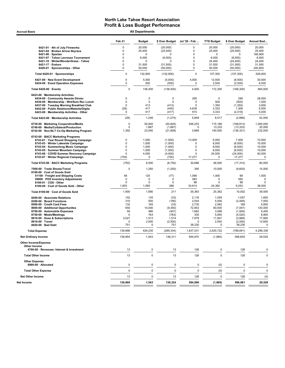**Accrual Basis** 

|                                                                                          | Feb <sub>21</sub> | <b>Budget</b>    | \$ Over Budget       | Jul '20 - Feb    | <b>YTD Budget</b> | \$ Over Budget       | Annual Bud        |
|------------------------------------------------------------------------------------------|-------------------|------------------|----------------------|------------------|-------------------|----------------------|-------------------|
| 6421-01 · 4th of July Fireworks                                                          | 0                 | 20,000           | (20,000)             | 0                | 20,000            | (20,000)             | 20,000            |
| 6421-04 · Broken Arrow Skyrace                                                           | 0                 | 25,400           | (25, 400)            | 0                | 25,400            | (25, 400)            | 25,400            |
| 6421-06 · Spartan                                                                        | 0                 | $\Omega$         | $\Omega$             | $\mathbf 0$      | 0                 | <sup>0</sup>         | 180,900           |
| 6421-07 · Tahoe Lacrosse Tournament                                                      | 0                 | 6,000            | (6,000)              | 0                | 6,000             | (6,000)              | 6,000             |
| 6421-10 · WinterWonderGrass - Tahoe                                                      | $\Omega$          | 0                | $\Omega$             | $\mathbf 0$      | 24,400            | (24, 400)            | 24,400            |
| 6421-17 · Enduro<br>6420-01 · Sponsorships - Other                                       | 0<br>0            | 31,500<br>50,000 | (31,500)<br>(50,000) | $\mathbf 0$<br>0 | 31,500<br>50,000  | (31,500)<br>(50,000) | 31,500<br>240,800 |
| Total 6420-01 · Sponsorships                                                             | 0                 | 132,900          | (132,900)            | 0                | 157,300           | (157, 300)           | 529,000           |
| 6421-00 · New Event Development<br>6424-00 · Event Operation Expenses                    | 0<br>0            | 5,000<br>500     | (5,000)<br>(500)     | 4,000<br>0       | 12,500<br>2,500   | (8,500)<br>(2,500)   | 30,000<br>6,000   |
| Total 6420-00 · Events                                                                   | 0                 | 138,400          | (138, 400)           | 4,000            | 172,300           | (168, 300)           | 565,000           |
| 6423-00 · Membership Activities                                                          |                   |                  |                      |                  |                   |                      |                   |
| 6434-00 · Community Awards Dinner                                                        | 0                 | 0<br>$\Omega$    | 0                    | 295              | $\mathbf 0$       | 295                  | 28,000            |
| 6436-00 · Membership - Wnt/Sum Rec Lunch<br>6437-00 · Tuesday Morning Breakfast Club     | 0<br>0            | 413              | $\mathbf 0$          | 0<br>$\Omega$    | 500<br>1,350      | (500)                | 1,000<br>3,000    |
| 6442-00 · Public Relations/Website/Digita                                                | (28)              | 417              | (413)<br>(445)       | 4,639            | 3,333             | (1, 350)<br>1,306    | 5,000             |
| 6423-00 · Membership Activities - Other                                                  | 0                 | 417              | (417)                | 915              | 3,333             | (2, 418)             | 5,000             |
| Total 6423-00 · Membership Activities                                                    | (28)              | 1,246            | (1, 274)             | 5,849            | 8,517             | (2,668)              | 42,000            |
| 6730-00 · Marketing Cooperative/Media                                                    | $\Omega$          | 50,845           | (50, 845)            | 546,253          | 715,166           | (168, 913)           | 1,000,000         |
| 6740-00 · Media/Collateral/Production                                                    | 0                 | 1,667            | (1,667)              | 0                | 13,333            | (13, 333)            | 20,000            |
| 6742-00 · Non-NLT Co-Op Marketing Program                                                | 1,392             | 23,000           | (21,608)             | 3,669            | 140,000           | (136, 331)           | 232,000           |
| 6743-00 · BACC Marketing Programs<br>6743-01 · Year Round Shopping Campaign              | 0                 | 1,000            | (1,000)              | 13,409           | 6,000             | 7,409                | 10,000            |
| 6743-03 · Winter Lakeside Campaign                                                       | 0                 | 1,000            | (1,000)              | 0                | 6,000             | (6,000)              | 10,000            |
| 6743-04 · Summerlong Music Campaign                                                      | 0                 | 1,000            | (1,000)              | 0                | 6,000             | (6,000)              | 10,000            |
| 6743-05 · Summer Mountain Campaign                                                       | 0                 | 1,000            | (1,000)              | 0                | 6,000             | (6,000)              | 10,000            |
| 6743-06 · COVID Summer Recovery Campaign                                                 | 0                 | 4,000            | (4,000)              | 0                | 24,000            | (24,000)             | 40,000            |
| 6743-07 · Winter Regional Campaign                                                       | (750)             | $\mathbf 0$      | (750)                | 17,277           | $\mathbf 0$       | 17,277               | $\mathbf 0$       |
| Total 6743-00 · BACC Marketing Programs                                                  | (750)             | 8,000            | (8,750)              | 30,686           | 48,000            | (17, 314)            | 80,000            |
| 7500-00 · Trade Shows/Travel<br>8100-00 · Cost of Goods Sold                             | 0                 | 1,250            | (1,250)              | 395              | 10,000            | (9,605)              | 15,000            |
| 51100 · Freight and Shipping Costs                                                       | 48                | 125              | (77)                 | 1,068            | 1,000             | 68                   | 1,500             |
| 59900 · POS Inventory Adjustments                                                        | 0                 | $\Omega$         | 0                    | 583              | $\mathbf 0$       | 583                  | 0                 |
| 8100-01 · CGS - Other                                                                    | 0                 | $\Omega$         | 0                    | 98               | $\mathbf 0$       | 98                   | $\mathbf 0$       |
| 8100-00 · Cost of Goods Sold - Other                                                     | 1,853             | 1,565            | 288                  | 33,614           | 24,362            | 9,253                | 38,000            |
| Total 8100-00 · Cost of Goods Sold                                                       | 1,900             | 1,690            | 211                  | 35,363           | 25,362            | 10,002               | 39,500            |
| 8200-00 · Associate Relations<br>8300-00 · Board Functions                               | 102<br>310        | 135<br>500       | (33)                 | 2,116<br>2,554   | 1,059<br>5,000    | 1,057                | 1,600<br>7,000    |
| 8500-00 · Credit Card Fees                                                               | 132               | 165              | (190)<br>(33)        | 2,730            | 2,562             | (2, 446)<br>169      | 5,850             |
| 8600-00 · Additional Opportunites                                                        | 650               | 10,000           | (9,350)              | 72,953           | 80,000            | (7,047)              | 120,000           |
| 8700-00 · Automobile Expenses                                                            | 59                | 466              | (407)                | 1,662            | 3,588             | (1,926)              | 5,450             |
| 8750-00 · Meals/Meetings                                                                 | 0                 | 763              | (763)                | 330              | 5,850             | (5, 520)             | 8,900             |
| 8810-00 · Dues & Subscriptions                                                           | 3,027             | 1,513            | 1,514                | 7,979            | 11,847            | (3,868)              | 17,900            |
| 8910-00 · Travel                                                                         | $\Omega$          | 2,500            | (2,500)              | 0                | 2,500             | (2,500)              | 12,600            |
| 8920-00 · Bad Debt                                                                       | 751               | 0                | 751                  | 38,230           | 0                 | 38,230               | 0                 |
| <b>Total Expense</b>                                                                     | 139,896           | 429,230          | (289, 334)           | 1,837,031        | 2,625,722         | (788, 691)           | 4,299,338         |
| <b>Net Ordinary Income</b>                                                               | 139,854           | 1,543            | 138,311              | 594.870          | (1,985)           | 596,855              | 29,529            |
| <b>Other Income/Expense</b><br>Other Income<br>4700-00 · Revenues- Interest & Investment | 13                | 0                | 13                   | 126              | 0                 | 126                  | 0                 |
| <b>Total Other Income</b>                                                                | 13                | $\mathbf 0$      | 13                   | 126              | $\mathbf 0$       | 126                  | $\mathbf 0$       |
| <b>Other Expense</b>                                                                     |                   |                  | 0                    |                  |                   |                      | $\mathbf 0$       |
| 8990-00 · Allocated                                                                      | 0<br>$\mathbf 0$  | 0<br>$\mathbf 0$ | $\pmb{0}$            | 0<br>$\pmb{0}$   | (0)               | 0                    | 0                 |
| <b>Total Other Expense</b><br><b>Net Other Income</b>                                    |                   | 0                |                      |                  | (0)<br>0          | $\pmb{0}$<br>126     |                   |
|                                                                                          | 13                |                  | 13                   | 126              |                   |                      | (0)               |
| Net Income                                                                               | 139,868           | 1,543            | 138,324              | 594,996          | (1,985)           | 596,981              | 29,529            |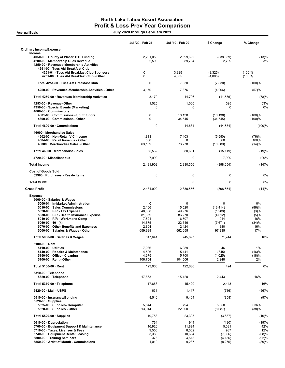# North Lake Tahoe Resort Association Profit & Loss Prev Year Comparison Accrual Basis July 2020 through February 2021

|                                                                                                                                                                                                                                                                                                                                               | Jul '20 - Feb 21                                                                | Jul '19 - Feb 20                                                       | \$ Change                                                                 | % Change                                                  |
|-----------------------------------------------------------------------------------------------------------------------------------------------------------------------------------------------------------------------------------------------------------------------------------------------------------------------------------------------|---------------------------------------------------------------------------------|------------------------------------------------------------------------|---------------------------------------------------------------------------|-----------------------------------------------------------|
| <b>Ordinary Income/Expense</b>                                                                                                                                                                                                                                                                                                                |                                                                                 |                                                                        |                                                                           |                                                           |
| Income<br>4050-00 County of Placer TOT Funding                                                                                                                                                                                                                                                                                                | 2,261,053                                                                       | 2,599,692                                                              | (338, 639)                                                                | (13)%                                                     |
| 4200-00 · Membership Dues Revenue<br>4250-00 · Revenues-Membership Activities                                                                                                                                                                                                                                                                 | 92,593                                                                          | 89,794                                                                 | 2,799                                                                     | 3%                                                        |
| 4251-00 · Tues AM Breakfast Club<br>4251-01 · Tues AM Breakfast Club Sponsors<br>4251-00 · Tues AM Breakfast Club - Other                                                                                                                                                                                                                     | 0<br>$\mathbf 0$                                                                | 3,325<br>4,005                                                         | (3,325)<br>(4,005)                                                        | (100)%<br>(100)%                                          |
| Total 4251-00 · Tues AM Breakfast Club                                                                                                                                                                                                                                                                                                        | $\mathbf 0$                                                                     | 7,330                                                                  | (7, 330)                                                                  | (100)%                                                    |
| 4250-00 · Revenues-Membership Activities - Other                                                                                                                                                                                                                                                                                              | 3,170                                                                           | 7,376                                                                  | (4,206)                                                                   | (57)%                                                     |
| Total 4250-00 · Revenues-Membership Activities                                                                                                                                                                                                                                                                                                | 3,170                                                                           | 14,706                                                                 | (11, 536)                                                                 | (78)%                                                     |
| 4253-00 · Revenue- Other<br>4350-00 · Special Events (Marketing)<br>4600-00 Commissions                                                                                                                                                                                                                                                       | 1,525<br>0                                                                      | 1,000<br>0                                                             | 525<br>0                                                                  | 53%<br>0%                                                 |
| 4601-00 · Commissions - South Shore<br>4600-00 · Commissions - Other                                                                                                                                                                                                                                                                          | 0<br>$\mathbf 0$                                                                | 10,138<br>34,545                                                       | (10, 138)<br>(34, 545)                                                    | (100)%<br>(100)%                                          |
| Total 4600-00 · Commissions                                                                                                                                                                                                                                                                                                                   | $\mathbf 0$                                                                     | 44,684                                                                 | (44, 684)                                                                 | (100)%                                                    |
| 46000 · Merchandise Sales<br>4502-00 · Non-Retail VIC income<br>4504-00 · Retail Revenue - Other<br>46000 · Merchandise Sales - Other                                                                                                                                                                                                         | 1,813<br>560<br>63,189                                                          | 7,403<br>0<br>73,278                                                   | (5,590)<br>560<br>(10,089)                                                | (76)%<br>100%<br>(14)%                                    |
| Total 46000 · Merchandise Sales                                                                                                                                                                                                                                                                                                               | 65,562                                                                          | 80,681                                                                 | (15, 119)                                                                 | (19)%                                                     |
| 4720-00 · Miscellaneous                                                                                                                                                                                                                                                                                                                       | 7,999                                                                           | 0                                                                      | 7,999                                                                     | 100%                                                      |
| <b>Total Income</b>                                                                                                                                                                                                                                                                                                                           | 2,431,902                                                                       | 2,830,556                                                              | (398, 654)                                                                | (14)%                                                     |
| <b>Cost of Goods Sold</b><br>52900 · Purchases - Resale Items                                                                                                                                                                                                                                                                                 | $\mathbf 0$                                                                     | 0                                                                      | $\mathbf 0$                                                               | 0%                                                        |
| <b>Total COGS</b>                                                                                                                                                                                                                                                                                                                             | $\Omega$                                                                        | 0                                                                      | $\mathbf 0$                                                               | 0%                                                        |
| <b>Gross Profit</b>                                                                                                                                                                                                                                                                                                                           | 2,431,902                                                                       | 2,830,556                                                              | (398, 654)                                                                | (14)%                                                     |
| <b>Expense</b><br>5000-00 · Salaries & Wages<br>5000-01 · In-Market Administration<br>5010-00 · Sales Commissions<br>$5020-00 \cdot P/R$ - Tax Expense<br>5030-00 · P/R - Health Insurance Expense<br>5040-00 · P/R - Workmans Comp<br>5060-00 $\cdot$ 401 (k)<br>5070-00 · Other Benefits and Expenses<br>5000-00 · Salaries & Wages - Other | $\mathbf 0$<br>2,106<br>48,688<br>81,659<br>7,521<br>14,875<br>2,804<br>659,989 | 0<br>15,520<br>49,976<br>86,270<br>6,507<br>22,546<br>2,424<br>562,655 | 0<br>(13, 414)<br>(1,288)<br>(4,612)<br>1,014<br>(7,671)<br>380<br>97,335 | 0%<br>(86)%<br>(3)%<br>(5)%<br>16%<br>(34)%<br>16%<br>17% |
| Total 5000-00 · Salaries & Wages                                                                                                                                                                                                                                                                                                              | 817,641                                                                         | 745,897                                                                | 71,744                                                                    | 10%                                                       |
| $5100-00 \cdot$ Rent<br>$5110-00 \cdot$ Utilities<br>5140-00 · Repairs & Maintenance<br>5150-00 Office - Cleaning<br>5100-00 · Rent - Other                                                                                                                                                                                                   | 7,036<br>4,596<br>4,675<br>106,754                                              | 6,989<br>5,441<br>5,700<br>104,506                                     | 46<br>(845)<br>(1,025)<br>2,248                                           | 1%<br>(16)%<br>(18)%<br>2%                                |
| Total 5100-00 · Rent                                                                                                                                                                                                                                                                                                                          | 123,060                                                                         | 122,636                                                                | 424                                                                       | 0%                                                        |
| 5310-00 · Telephone<br>5320-00 · Telephone                                                                                                                                                                                                                                                                                                    | 17,863                                                                          | 15,420                                                                 | 2,443                                                                     | 16%                                                       |
| Total 5310-00 · Telephone                                                                                                                                                                                                                                                                                                                     | 17,863                                                                          | 15,420                                                                 | 2,443                                                                     | 16%                                                       |
| 5420-00 · Mail - USPS                                                                                                                                                                                                                                                                                                                         | 631                                                                             | 1,417                                                                  | (786)                                                                     | (56)%                                                     |
| 5510-00 · Insurance/Bonding<br>$5520-00 \cdot$ Supplies<br>5525-00 · Supplies- Computer                                                                                                                                                                                                                                                       | 8,546<br>5,844                                                                  | 9,404<br>794                                                           | (858)<br>5,050                                                            | (9)%<br>636%                                              |
| 5520-00 · Supplies - Other                                                                                                                                                                                                                                                                                                                    | 13,914                                                                          | 22,600                                                                 | (8,687)                                                                   | (38)%                                                     |
| Total 5520-00 $\cdot$ Supplies                                                                                                                                                                                                                                                                                                                | 19,758                                                                          | 23,395                                                                 | (3,637)                                                                   | (16)%                                                     |
| 5610-00 Depreciation<br>5700-00 · Equipment Support & Maintenance<br>5710-00 · Taxes, Licenses & Fees<br>5740-00 · Equipment Rental/Leasing<br>5800-00 · Training Seminars                                                                                                                                                                    | 764<br>16,926<br>9,550<br>3,388<br>376                                          | 944<br>11,894<br>8,562<br>10,694<br>4,513                              | (180)<br>5,031<br>987<br>(7,306)<br>(4, 136)                              | (19)%<br>42%<br>12%<br>(68)%<br>(92)%                     |
| 5850-00 · Artist of Month - Commissions                                                                                                                                                                                                                                                                                                       | 1,010                                                                           | 9,287                                                                  | (8,276)                                                                   | (89)%                                                     |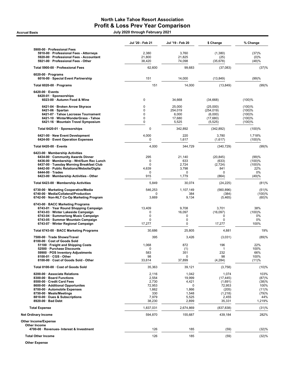# North Lake Tahoe Resort Association Profit & Loss Prev Year Comparison

.<br>| July 2020 through February 2021<br>| July 2020 through February 2021

|                                                                                                                                                                                                                                                                                | Jul '20 - Feb 21                                                     | Jul '19 - Feb 20                                                         | \$ Change                                                                      | % Change                                                          |
|--------------------------------------------------------------------------------------------------------------------------------------------------------------------------------------------------------------------------------------------------------------------------------|----------------------------------------------------------------------|--------------------------------------------------------------------------|--------------------------------------------------------------------------------|-------------------------------------------------------------------|
| 5900-00 · Professional Fees<br>5910-00 · Professional Fees - Attorneys<br>5920-00 · Professional Fees - Accountant                                                                                                                                                             | 2,380<br>21,800                                                      | 3,760<br>21,825                                                          | (1,380)<br>(25)                                                                | (37)%<br>$(0)\%$                                                  |
| 5921-00 · Professional Fees - Other                                                                                                                                                                                                                                            | 38,420                                                               | 74,098                                                                   | (35, 678)                                                                      | (48)%                                                             |
| Total 5900-00 · Professional Fees                                                                                                                                                                                                                                              | 62,600                                                               | 99,683                                                                   | (37,083)                                                                       | (37)%                                                             |
| $6020-00 \cdot$ Programs<br>6016-00 · Special Event Partnership                                                                                                                                                                                                                | 151                                                                  | 14,000                                                                   | (13, 849)                                                                      | (99)%                                                             |
| Total 6020-00 · Programs                                                                                                                                                                                                                                                       | 151                                                                  | 14,000                                                                   | (13, 849)                                                                      | (99)%                                                             |
| $6420-00 \cdot$ Events<br>6420-01 · Sponsorships<br>6023-00 · Autumn Food & Wine                                                                                                                                                                                               | 0                                                                    | 34,668                                                                   | (34,668)                                                                       | (100)%                                                            |
| 6421-04 · Broken Arrow Skyrace<br>$6421-06 \cdot$ Spartan<br>6421-07 · Tahoe Lacrosse Tournament<br>6421-10 · WinterWonderGrass - Tahoe<br>6421-16 · Mountain Travel Symposium                                                                                                 | 0<br>0<br>0<br>0<br>0                                                | 25,000<br>254,019<br>6,000<br>17,680<br>5,525                            | (25,000)<br>(254, 019)<br>(6,000)<br>(17,680)<br>(5, 525)                      | (100)%<br>(100)%<br>(100)%<br>(100)%<br>(100)%                    |
| Total 6420-01 · Sponsorships                                                                                                                                                                                                                                                   | $\mathbf 0$                                                          | 342,892                                                                  | (342, 892)                                                                     | (100)%                                                            |
| 6421-00 · New Event Development<br>6424-00 · Event Operation Expenses                                                                                                                                                                                                          | 4,000<br>0                                                           | 220<br>1,617                                                             | 3,780<br>(1,617)                                                               | 1,718%<br>(100)%                                                  |
| Total 6420-00 · Events                                                                                                                                                                                                                                                         | 4,000                                                                | 344,729                                                                  | (340, 729)                                                                     | (99)%                                                             |
| 6423-00 · Membership Activities<br>6434-00 · Community Awards Dinner<br>6436-00 · Membership - Wnt/Sum Rec Lunch<br>6437-00 · Tuesday Morning Breakfast Club<br>6442-00 · Public Relations/Website/Digita<br>$6444-00 \cdot Trades$<br>6423-00 · Membership Activities - Other | 295<br>0<br>$\Omega$<br>4,639<br>0<br>915                            | 21,140<br>633<br>2,724<br>3,798<br>0<br>1,779                            | (20, 845)<br>(633)<br>(2,724)<br>841<br>0<br>(864)                             | (99)%<br>(100)%<br>(100)%<br>22%<br>0%<br>(49)%                   |
| Total 6423-00 · Membership Activities                                                                                                                                                                                                                                          | 5,849                                                                | 30,074                                                                   | (24, 225)                                                                      | (81)%                                                             |
| 6730-00 · Marketing Cooperative/Media<br>6740-00 · Media/Collateral/Production<br>6742-00 · Non-NLT Co-Op Marketing Program                                                                                                                                                    | 546,253<br>0<br>3,669                                                | 1,107,149<br>384<br>9,134                                                | (560, 896)<br>(384)<br>(5,465)                                                 | (51)%<br>(100)%<br>(60)%                                          |
| 6743-00 · BACC Marketing Programs<br>6743-01 · Year Round Shopping Campaign<br>6743-03 · Winter Lakeside Campaign<br>6743-04 · Summerlong Music Campaign<br>6743-05 · Summer Mountain Campaign<br>6743-07 · Winter Regional Campaign                                           | 13,409<br>0<br>$\pmb{0}$<br>$\Omega$<br>17,277                       | 9,708<br>16,097<br>$\mathbf 0$<br>0<br>0                                 | 3,701<br>(16,097)<br>0<br>0<br>17,277                                          | 38%<br>(100)%<br>0%<br>0%<br>100%                                 |
| Total 6743-00 · BACC Marketing Programs                                                                                                                                                                                                                                        | 30,686                                                               | 25,805                                                                   | 4,881                                                                          | 19%                                                               |
| 7500-00 · Trade Shows/Travel<br>8100-00 · Cost of Goods Sold                                                                                                                                                                                                                   | 395                                                                  | 3,426                                                                    | (3,031)                                                                        | (89)%                                                             |
| 51100 · Freight and Shipping Costs<br>52500 · Purchase Discounts<br>59900 · POS Inventory Adjustments<br>$8100-01 \cdot \text{CGS}$ - Other<br>8100-00 · Cost of Goods Sold - Other                                                                                            | 1,068<br>$\pmb{0}$<br>583<br>98<br>33,614                            | 872<br>(1)<br>351<br>0<br>37,899                                         | 196<br>$\mathbf{1}$<br>232<br>98<br>(4, 284)                                   | 22%<br>100%<br>66%<br>100%<br>(11)%                               |
| Total 8100-00 · Cost of Goods Sold                                                                                                                                                                                                                                             | 35,363                                                               | 39,121                                                                   | (3,758)                                                                        | (10)%                                                             |
| 8200-00 · Associate Relations<br>8300-00 · Board Functions<br>8500-00 · Credit Card Fees<br>8600-00 · Additional Opportunites<br>8700-00 · Automobile Expenses<br>8750-00 · Meals/Meetings<br>8810-00 · Dues & Subscriptions<br>8920-00 · Bad Debt                             | 2,116<br>2,554<br>2,730<br>72,953<br>1,662<br>330<br>7,979<br>38,230 | 1,042<br>19,999<br>4,421<br>$\Omega$<br>1,866<br>1,548<br>5,525<br>2,899 | 1,074<br>(17, 445)<br>(1,691)<br>72,953<br>(205)<br>(1,218)<br>2,455<br>35,331 | 103%<br>(87)%<br>(38)%<br>100%<br>(11)%<br>(79)%<br>44%<br>1,219% |
| <b>Total Expense</b>                                                                                                                                                                                                                                                           | 1,837,031                                                            | 2,674,869                                                                | (837, 838)                                                                     | (31)%                                                             |
| <b>Net Ordinary Income</b>                                                                                                                                                                                                                                                     | 594,870                                                              | 155,687                                                                  | 439,184                                                                        | 282%                                                              |
| <b>Other Income/Expense</b><br>Other Income                                                                                                                                                                                                                                    |                                                                      |                                                                          |                                                                                |                                                                   |
| 4700-00 · Revenues- Interest & Investment                                                                                                                                                                                                                                      | 126                                                                  | 185                                                                      | (59)                                                                           | (32)%                                                             |
| <b>Total Other Income</b>                                                                                                                                                                                                                                                      | 126                                                                  | 185                                                                      | (59)                                                                           | (32)%                                                             |

Other Expense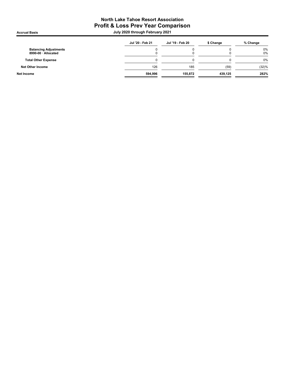# North Lake Tahoe Resort Association Profit & Loss Prev Year Comparison .<br>| July 2020 through February 2021<br>| July 2020 through February 2021

| Jul '20 - Feb 21 | Jul '19 - Feb 20 | \$ Change | % Change       |
|------------------|------------------|-----------|----------------|
|                  | ι.               |           | $0\%$<br>$0\%$ |
|                  |                  |           | $0\%$          |
| 126              | 185              | (59)      | (32)%          |
| 594.996          | 155.872          | 439.125   | 282%           |
|                  |                  |           |                |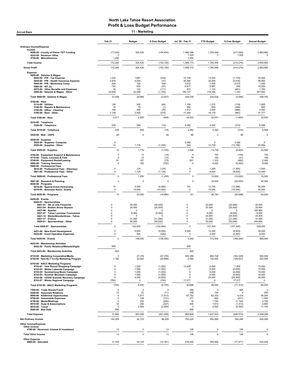| 11 - Marketing<br><b>Accrual Basis</b>                                                                  |                            |                    |                       |                             |                       |                       |                          |  |
|---------------------------------------------------------------------------------------------------------|----------------------------|--------------------|-----------------------|-----------------------------|-----------------------|-----------------------|--------------------------|--|
|                                                                                                         | Feb 21                     | <b>Budget</b>      | \$ Over Budget        | Jul '20 - Feb 21            | <b>YTD Budget</b>     | \$ Over Budget        | <b>Annual Budget</b>     |  |
| <b>Ordinary Income/Expense</b>                                                                          |                            |                    |                       |                             |                       |                       |                          |  |
| Income<br>4050-00 · County of Placer TOT Funding<br>4253-00 · Revenue- Other<br>4720-00 · Miscellaneous | 171,034<br>1,250           | 325,434            | (154, 400)            | 1,566,398<br>1,525<br>1,250 | 1,783,448<br>$\Omega$ | (217,050)<br>1,525    | 2,983,682<br>O           |  |
| <b>Total Income</b>                                                                                     | 172,284                    | 325,434            | (153, 150)            | 1,569,173                   | 1,783,448             | (214, 275)            | 2,983,682                |  |
| <b>Gross Profit</b>                                                                                     | 172,284                    | 325,434            | (153, 150)            | 1,569,173                   | 1,783,448             | (214, 275)            | 2,983,682                |  |
| <b>Expense</b>                                                                                          |                            |                    |                       |                             |                       |                       |                          |  |
| 5000-00 · Salaries & Wages<br>5020-00 · P/R - Tax Expense                                               | 1,232                      | 1,667              | (435)                 | 12,155                      | 13,333                | (1, 178)              | 20,000                   |  |
| 5030-00 · P/R - Health Insurance Expense<br>5040-00 · P/R - Workmans Comp                               | 3,979<br>529               | 4,000<br>125       | (21)<br>404           | 26,584<br>3,072             | 32,000<br>1,000       | (5, 416)<br>2,072     | 48,000<br>1,500          |  |
| 5060-00 $\cdot$ 401 (k)<br>5070-00 · Other Benefits and Expenses                                        | 743<br>30                  | 833<br>142         | (91)<br>(111)         | 6,617<br>673                | 6,667<br>1,133        | (49)<br>(461)         | 10,000<br>1,700          |  |
| 5000-00 · Salaries & Wages - Other<br>Total 5000-00 · Salaries & Wages                                  | 20,546<br>27,059           | 22,299<br>29,066   | (1,754)<br>(2,007)    | 180,137<br>229,239          | 178,395<br>232,528    | 1,743<br>(3, 289)     | 267,592<br>348,792       |  |
| $5100-00 \cdot$ Rent                                                                                    |                            |                    |                       |                             |                       |                       |                          |  |
| 5110-00 · Utilities<br>5140-00 · Repairs & Maintenance                                                  | 136<br>74                  | 200<br>75          | (64)<br>(1)           | 1,156<br>260                | 1,275<br>600          | (119)<br>(340)        | 1,855<br>900             |  |
| 5150-00 · Office - Cleaning<br>5100-00 · Rent - Other                                                   | 180<br>2,126               | 250<br>2,400       | (70)<br>(274)         | 1,512<br>17,294             | 2,000<br>18,176       | (488)<br>(883)        | 3,000<br>27,777          |  |
| Total 5100-00 · Rent                                                                                    | 2,517                      | 2,925              | (409)                 | 20,222                      | 22,051                | (1,830)               | 33,532                   |  |
| 5310-00 · Telephone                                                                                     |                            |                    |                       |                             |                       |                       |                          |  |
| 5320-00 · Telephone                                                                                     | 535<br>535                 | 549<br>549         | (14)<br>(14)          | 4,082<br>4,082              | 4,392<br>4,392        | (310)<br>(310)        | 6,588<br>6,588           |  |
| Total 5310-00 · Telephone<br>5420-00 · Mail - USPS                                                      | 26                         | 0                  | 26                    | 80                          | $\pmb{0}$             | 80                    |                          |  |
| $5520-00 \cdot$ Supplies                                                                                |                            |                    |                       |                             |                       |                       |                          |  |
| 5525-00 · Supplies- Computer<br>5520-00 · Supplies - Other                                              | $\mathbf 0$<br>12          | 1,716              | (1,705)               | 3,382<br>544                | 0<br>13,729           | 3,382<br>(13, 186)    | 0<br>20,594              |  |
| Total 5520-00 · Supplies                                                                                | 12                         | 1,716              | (1,705)               | 3,926                       | 13,729                | (9,803)               | 20,594                   |  |
| 5700-00 · Equipment Support & Maintenance<br>5710-00 · Taxes, Licenses & Fees                           | 3<br>0                     | 13<br>13           | (10)<br>(13)          | $\mathsf 0$<br>79           | 100<br>100            | (100)<br>(21)         | 150<br>150               |  |
| 5740-00 · Equipment Rental/Leasing<br>5800-00 · Training Seminars                                       | 91<br>0                    | 167<br>750         | (75)<br>(750)         | 851<br>0                    | 1,333<br>6,000        | (482)<br>(6,000)      | 2,000<br>9,000           |  |
| 5900-00 · Professional Fees<br>5910-00 · Professional Fees - Attorneys                                  | $\mathbf 0$                | 125                | (125)                 | $\pmb{0}$                   | 1,000                 | (1,000)               | 1,500                    |  |
| 5921-00 · Professional Fees - Other                                                                     | $\mathbf 0$                | 1,125              | (1, 125)              | $\mathbf 0$                 | 9,000                 | (9,000)               | 13,500                   |  |
| Total 5900-00 · Professional Fees                                                                       | 0                          | 1,250              | (1,250)               | 0                           | 10,000                | (10,000)              | 15,000                   |  |
| 5941-00 · Research & Planning<br>$6020-00 \cdot$ Programs                                               | 0                          | 0                  | $\mathbf 0$           | 0                           | 20,000                | (20,000)              | 40,000                   |  |
| 6016-00 · Special Event Partnership<br>6018-00 · Business Assoc. Grants                                 | 10<br>$\pmb{0}$            | 5,000<br>15,000    | (4,990)<br>(15,000)   | 151<br>$\mathbf 0$          | 13,750<br>15,000      | (13, 599)<br>(15,000) | 50,000<br>30,000         |  |
| Total 6020-00 · Programs                                                                                | 10                         | 20,000             | (19,990)              | 151                         | 28,750                | (28, 599)             | 80,000                   |  |
| 6420-00 · Events<br>6420-01 · Sponsorships                                                              |                            |                    |                       |                             |                       |                       |                          |  |
| 6421-01 · 4th of July Fireworks<br>6421-04 · Broken Arrow Skyrace                                       | $\mathbf 0$<br>0           | 20,000<br>25,400   | (20,000)<br>(25, 400) | $\mathbf 0$<br>$\pmb{0}$    | 20,000<br>25,400      | (20,000)<br>(25, 400) | 20,000<br>25,400         |  |
| 6421-06 · Spartan<br>6421-07 · Tahoe Lacrosse Tournament                                                | $\mathbf 0$<br>$\mathbf 0$ | $\Omega$<br>6,000  | O<br>(6,000)          | $\mathbf 0$<br>$\mathbf 0$  | $\Omega$<br>6,000     | $\Omega$<br>(6,000)   | 180,900<br>6,000         |  |
| 6421-10 · WinterWonderGrass - Tahoe<br>6421-17 · Enduro                                                 | 0<br>0                     | $\Omega$<br>31,500 | O<br>(31, 500)        | $\mathbf 0$<br>$\mathbf 0$  | 24,400<br>31,500      | (24, 400)<br>(31,500) | 24,400<br>31,500         |  |
| 6420-01 · Sponsorships - Other                                                                          | 0                          | 50,000             | (50,000)              | $\pmb{0}$                   | 50,000                | (50,000)              | 240,800                  |  |
| Total 6420-01 · Sponsorships                                                                            | $\pmb{0}$                  | 132,900            | (132,900)             | $\pmb{0}$                   | 157,300               | (157, 300)            | 529,000                  |  |
| 6421-00 · New Event Development<br>6424-00 · Event Operation Expenses                                   | $\mathbf 0$<br>0           | 5,000<br>500       | (5,000)<br>(500)      | 4,000<br>$\mathbf 0$        | 12,500<br>2,500       | (8,500)<br>(2,500)    | 30,000<br>6,000          |  |
| Total 6420-00 · Events                                                                                  | 0                          | 138,400            | (138, 400)            | 4,000                       | 172,300               | (168, 300)            | 565,000                  |  |
| 6423-00 · Membership Activities<br>6442-00 · Public Relations/Website/Digita                            | 600                        |                    |                       | 600                         |                       |                       |                          |  |
| Total 6423-00 · Membership Activities                                                                   | 600                        |                    |                       | 600                         |                       |                       |                          |  |
| 6730-00 · Marketing Cooperative/Media<br>6742-00 · Non-NLT Co-Op Marketing Program                      | $\Omega$                   | 47,376             | (47, 376)             | 503,399                     | 665,728               | (162, 329)            | 925,000                  |  |
| 6743-00 · BACC Marketing Programs                                                                       | 1,192                      | 22,000             | (20, 808)             | 2,069                       | 132,000               | (129, 931)            | 220,000                  |  |
| 6743-01 · Year Round Shopping Campaign<br>6743-03 · Winter Lakeside Campaign                            | 0<br>0                     | 1,000<br>1,000     | (1,000)<br>(1,000)    | 13,409<br>0                 | 6,000<br>6,000        | 7,409<br>(6,000)      | 10,000<br>10,000         |  |
| 6743-04 · Summerlong Music Campaign<br>6743-05 · Summer Mountain Campaign                               | 0<br>0                     | 1,000<br>1,000     | (1,000)<br>(1,000)    | 0<br>0                      | 6,000<br>6,000        | (6,000)<br>(6,000)    | 10,000<br>10,000         |  |
| 6743-06 · COVID Summer Recovery Campaign<br>6743-07 · Winter Regional Campaign                          | 0<br>(750)                 | 4,000<br>0         | (4,000)<br>(750)      | 0<br>17,277                 | 24,000<br>0           | (24,000)<br>17,277    | 40,000<br>$\overline{0}$ |  |
| Total 6743-00 · BACC Marketing Programs                                                                 | (750)                      | 8,000              | (8,750)               | 30,686                      | 48,000                | (17, 314)             | 80,000                   |  |
| 7500-00 · Trade Shows/Travel                                                                            | $\mathbf 0$                | $\mathsf 0$        | $\Omega$              | 395                         | $\Omega$              | 395                   | O                        |  |
| 8200-00 · Associate Relations<br>8600-00 · Additional Opportunites                                      | 12<br>0                    | 23<br>7,917        | (11)<br>(7, 917)      | 168<br>67,753               | 159<br>63,333         | 9<br>4,419            | 250<br>95,000            |  |
| 8700-00 · Automobile Expenses<br>8750-00 · Meals/Meetings                                               | 5<br>0                     | 136<br>250         | (131)<br>(250)        | 277<br>16                   | 955<br>1,750          | (677)<br>(1,734)      | 1,500<br>2,750           |  |
| 8810-00 · Dues & Subscriptions<br>8910-00 · Travel                                                      | 32<br>0                    | 259<br>2,500       | (227)<br>(2,500)      | 400<br>$^{\circ}$           | 1,814<br>2,500        | (1, 413)<br>(2,500)   | 2,850<br>11,100          |  |
| 8920-00 · Bad Debt                                                                                      | 556                        |                    |                       | 556                         |                       |                       |                          |  |
| <b>Total Expense</b>                                                                                    | 31,900                     | 283,309            | (251, 409)            | 868,949                     | 1,427,523             | (558, 574)            | 2,459,256                |  |
| <b>Net Ordinary Income</b><br>Other Income/Expense                                                      | 140,384                    | 42,125             | 98,259                | 700,225                     | 355,926               | 344,299               | 524,426                  |  |
| Other Income<br>4700-00 · Revenues- Interest & Investment                                               | 13                         | 0                  | 13                    | 126                         | $\pmb{0}$             | 126                   | $\Omega$                 |  |
| <b>Total Other Income</b>                                                                               | 13                         | $\mathbf 0$        | 13                    | 126                         | $\pmb{0}$             | 126                   | C                        |  |
| <b>Other Expense</b><br>8990-00 · Allocated                                                             | 31,344                     | 42,125             | (10, 781)             | 278,455                     | 355,926               | (77, 471)             | 524,426                  |  |
|                                                                                                         |                            |                    |                       |                             |                       |                       |                          |  |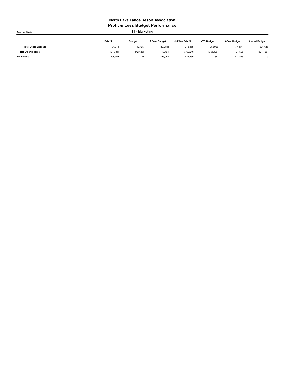| 11 - Marketing<br><b>Accrual Basis</b> |           |               |                |                  |                   |                |                      |  |
|----------------------------------------|-----------|---------------|----------------|------------------|-------------------|----------------|----------------------|--|
|                                        | Feb 21    | <b>Budget</b> | \$ Over Budget | Jul '20 - Feb 21 | <b>YTD Budget</b> | \$ Over Budget | <b>Annual Budget</b> |  |
| <b>Total Other Expense</b>             | 31.344    | 42.125        | (10, 781)      | 278.455          | 355.926           | (77, 471)      | 524,426              |  |
| <b>Net Other Income</b>                | (31, 331) | (42, 125)     | 10,794         | (278, 329)       | (355, 926)        | 77,596         | (524, 426)           |  |
| Net Income                             | 109.054   |               | 109.054        | 421.895          | (0)               | 421.895        |                      |  |
|                                        |           |               |                |                  |                   |                |                      |  |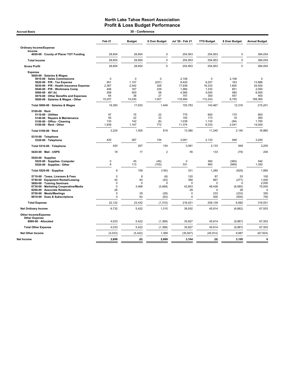# North Lake Tahoe Resort Association **Profit & Loss Budget Performance**<br>30 - Conference

| 30 - Conference<br><b>Accrual Basis</b>                                                                                                                                                                                                                                                         |                                                                           |                                                             |                                                       |                                                                      |                                                          |                                                      |                                                                     |  |  |
|-------------------------------------------------------------------------------------------------------------------------------------------------------------------------------------------------------------------------------------------------------------------------------------------------|---------------------------------------------------------------------------|-------------------------------------------------------------|-------------------------------------------------------|----------------------------------------------------------------------|----------------------------------------------------------|------------------------------------------------------|---------------------------------------------------------------------|--|--|
|                                                                                                                                                                                                                                                                                                 | Feb <sub>21</sub>                                                         | <b>Budget</b>                                               | \$ Over Budget                                        | Jul '20 - Feb 21                                                     | <b>YTD Budget</b>                                        | \$ Over Budget                                       | <b>Annual Budget</b>                                                |  |  |
| <b>Ordinary Income/Expense</b><br>Income                                                                                                                                                                                                                                                        |                                                                           |                                                             |                                                       |                                                                      |                                                          |                                                      |                                                                     |  |  |
| 4050-00 · County of Placer TOT Funding                                                                                                                                                                                                                                                          | 28,854                                                                    | 28,854                                                      | $\mathbf 0$                                           | 254,953                                                              | 254,953                                                  | 0                                                    | 384,054                                                             |  |  |
| <b>Total Income</b>                                                                                                                                                                                                                                                                             | 28,854                                                                    | 28,854                                                      | $\mathbf 0$                                           | 254,953                                                              | 254,953                                                  | $\mathbf 0$                                          | 384,054                                                             |  |  |
| <b>Gross Profit</b>                                                                                                                                                                                                                                                                             | 28,854                                                                    | 28,854                                                      | $\Omega$                                              | 254,953                                                              | 254,953                                                  | $\Omega$                                             | 384,054                                                             |  |  |
| <b>Expense</b><br>5000-00 · Salaries & Wages<br>5010-00 · Sales Commissions<br>5020-00 · P/R - Tax Expense<br>5030-00 · P/R - Health Insurance Expense<br>5040-00 · P/R - Workmans Comp<br>5060-00 $\cdot$ 401 (k)<br>5070-00 Other Benefits and Expenses<br>5000-00 · Salaries & Wages - Other | $\mathbf 0$<br>951<br>2.367<br>406<br>558<br>64<br>15,037                 | $\mathbf 0$<br>1,157<br>2.042<br>167<br>500<br>38<br>14,030 | $\pmb{0}$<br>(207)<br>326<br>239<br>58<br>27<br>1,007 | 2,106<br>9,420<br>17.938<br>1,984<br>4,585<br>757<br>118,994         | 0<br>9,257<br>16,333<br>1,333<br>4,000<br>300<br>112,243 | 2,106<br>163<br>1.605<br>651<br>585<br>457<br>6,750  | $\mathbf 0$<br>13,886<br>24.500<br>2,000<br>6,000<br>450<br>168,365 |  |  |
| Total 5000-00 · Salaries & Wages                                                                                                                                                                                                                                                                | 19.383                                                                    | 17,933                                                      | 1.449                                                 | 155.783                                                              | 143.467                                                  | 12.316                                               | 215.201                                                             |  |  |
| 5100-00 $\cdot$ Rent<br>$5110-00 \cdot$ Utilities<br>5140-00 · Repairs & Maintenance<br>5150-00 · Office - Cleaning<br>5100-00 · Rent - Other                                                                                                                                                   | 97<br>55<br>133<br>1,939                                                  | 75<br>22<br>142<br>1,167                                    | 22<br>33<br>(8)<br>772                                | 775<br>193<br>1,039<br>11,374                                        | 600<br>173<br>1,133<br>9,333                             | 175<br>19<br>(94)<br>2,041                           | 900<br>260<br>1,700<br>14,000                                       |  |  |
| Total 5100-00 · Rent                                                                                                                                                                                                                                                                            | 2,224                                                                     | 1,405                                                       | 819                                                   | 13,380                                                               | 11,240                                                   | 2,140                                                | 16,860                                                              |  |  |
| 5310-00 · Telephone<br>5320-00 · Telephone                                                                                                                                                                                                                                                      | 420                                                                       | 267                                                         | 154                                                   | 3,081                                                                | 2,133                                                    | 948                                                  | 3,200                                                               |  |  |
| Total 5310-00 · Telephone                                                                                                                                                                                                                                                                       | 420                                                                       | 267                                                         | 154                                                   | 3,081                                                                | 2,133                                                    | 948                                                  | 3,200                                                               |  |  |
| 5420-00 Mail USPS                                                                                                                                                                                                                                                                               | 18                                                                        | 17                                                          | $\overline{2}$                                        | 55                                                                   | 133                                                      | (79)                                                 | 200                                                                 |  |  |
| $5520-00 \cdot$ Supplies<br>5525-00 · Supplies- Computer<br>5520-00 · Supplies - Other                                                                                                                                                                                                          | $\mathbf 0$<br>8                                                          | 45<br>113                                                   | (45)<br>(105)                                         | $\mathbf 0$<br>331                                                   | 360<br>900                                               | (360)<br>(569)                                       | 540<br>1,350                                                        |  |  |
| Total 5520-00 · Supplies                                                                                                                                                                                                                                                                        | 8                                                                         | 158                                                         | (150)                                                 | 331                                                                  | 1,260                                                    | (929)                                                | 1,890                                                               |  |  |
| 5710-00 · Taxes, Licenses & Fees<br>5740-00 · Equipment Rental/Leasing<br>5800-00 · Training Seminars<br>6730-00 · Marketing Cooperative/Media<br>8200-00 · Associate Relations<br>8750-00 · Meals/Meetings<br>8810-00 · Dues & Subscriptions                                                   | 0<br>40<br>$\mathbf 0$<br>$\mathbf 0$<br>28<br>$\mathbf 0$<br>$\mathbf 0$ | 8<br>83<br>$\mathbf 0$<br>3,469<br>29<br>63                 | (8)<br>(43)<br>$\Omega$<br>(3, 469)<br>(29)<br>(63)   | 120<br>390<br>$\Omega$<br>42,853<br>28<br>$\mathbf 0$<br>$\mathbf 0$ | 67<br>667<br>$\mathbf 0$<br>49,438<br>0<br>233<br>500    | 53<br>(277)<br>0<br>(6, 585)<br>28<br>(233)<br>(500) | 100<br>1,000<br>2,000<br>75,000<br>$\Omega$<br>350<br>750           |  |  |
| <b>Total Expense</b>                                                                                                                                                                                                                                                                            | 22,122                                                                    | 23,432                                                      | (1, 310)                                              | 216,021                                                              | 209,139                                                  | 6,882                                                | 316,551                                                             |  |  |
| <b>Net Ordinary Income</b>                                                                                                                                                                                                                                                                      | 6,732                                                                     | 5,422                                                       | 1,310                                                 | 38,932                                                               | 45,814                                                   | (6,882)                                              | 67,503                                                              |  |  |
| Other Income/Expense<br><b>Other Expense</b><br>8990-00 · Allocated                                                                                                                                                                                                                             | 4,033                                                                     | 5,422                                                       | (1, 389)                                              | 35,827                                                               | 45,814                                                   | (9,987)                                              | 67,503                                                              |  |  |
| <b>Total Other Expense</b>                                                                                                                                                                                                                                                                      | 4,033                                                                     | 5,422                                                       | (1, 389)                                              | 35,827                                                               | 45,814                                                   | (9,987)                                              | 67,503                                                              |  |  |
| <b>Net Other Income</b>                                                                                                                                                                                                                                                                         | (4,033)                                                                   | (5, 422)                                                    | 1,389                                                 | (35, 827)                                                            | (45, 814)                                                | 9,987                                                | (67, 503)                                                           |  |  |
| <b>Net Income</b>                                                                                                                                                                                                                                                                               | 2,699                                                                     | (0)                                                         | 2,699                                                 | 3,104                                                                | (0)                                                      | 3,105                                                | $\mathbf 0$                                                         |  |  |
|                                                                                                                                                                                                                                                                                                 |                                                                           |                                                             |                                                       |                                                                      |                                                          |                                                      |                                                                     |  |  |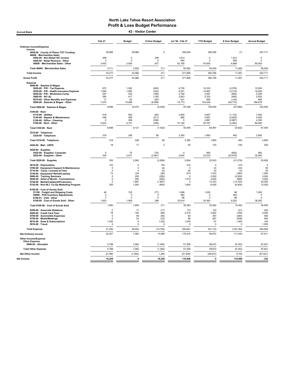Accrual Basis 42 - Visitor Center

|                                                                         | Feb 21                  | <b>Budget</b>    | \$ Over Budget      | Jul '20 - Feb 21   | <b>YTD Budget</b>       | \$ Over Budget      | <b>Annual Budget</b>    |
|-------------------------------------------------------------------------|-------------------------|------------------|---------------------|--------------------|-------------------------|---------------------|-------------------------|
| <b>Ordinary Income/Expense</b>                                          |                         |                  |                     |                    |                         |                     |                         |
| Income<br>4050-00 · County of Placer TOT Funding                        | 39,566                  | 39,566           | $\mathbf 0$         | 306,294            | 306,295                 | (1)                 | 457,711                 |
| 46000 · Merchandise Sales                                               |                         |                  |                     |                    |                         |                     |                         |
| 4502-00 · Non-Retail VIC income<br>4504-00 · Retail Revenue - Other     | 258<br>$\Omega$         | 0<br>$\Omega$    | 258<br>$\Omega$     | 1,813<br>560       | $\mathbf 0$<br>$\Omega$ | 1,813<br>560        | $\mathbf 0$<br>$\Omega$ |
| 46000 · Merchandise Sales - Other                                       | 3,453                   | 3.500            | (47)                | 63,189             | 54,500                  | 8,689               | 85,000                  |
| Total 46000 · Merchandise Sales                                         | 3,711                   | 3,500            | 211                 | 65,562             | 54,500                  | 11,062              | 85,000                  |
| <b>Total Income</b>                                                     | 43,277                  | 43,066           | 211                 | 371,856            | 360,795                 | 11,061              | 542,711                 |
| <b>Gross Profit</b>                                                     | 43,277                  | 43,066           | 211                 | 371,856            | 360,795                 | 11,061              | 542,711                 |
| <b>Expense</b>                                                          |                         |                  |                     |                    |                         |                     |                         |
| 5000-00 · Salaries & Wages<br>5020-00 · P/R - Tax Expense               | 672                     | 1,292            | (620)               | 6,755              | 10,333                  | (3,578)             | 15,500                  |
| 5030-00 · P/R - Health Insurance Expense                                | 1,260                   | 1,583            | (324)               | 9,351              | 12,667                  | (3, 315)            | 19,000                  |
| 5040-00 · P/R - Workmans Comp<br>5060-00 $\cdot$ 401 (k)                | 247<br>280              | 433<br>417       | (186)               | 2,782<br>2.843     | 3,467<br>3.333          | (685)<br>(490)      | 5,200                   |
| 5070-00 Other Benefits and Expenses                                     | 17                      | 82               | (136)<br>(65)       | 531                | 655                     | (124)               | 5,000<br>982            |
| 5000-00 · Salaries & Wages - Other                                      | 7,470                   | 15,568           | (8,099)             | 74,773             | 124,545                 | (49, 772)           | 186,818                 |
| Total 5000-00 · Salaries & Wages                                        | 9,946                   | 19,375           | (9, 429)            | 97,036             | 155,000                 | (57, 964)           | 232,500                 |
| 5100-00 · Rent                                                          |                         |                  |                     |                    |                         |                     |                         |
| 5110-00 · Utilities<br>5140-00 · Repairs & Maintenance                  | 518<br>248              | 583<br>458       | (65)<br>(211)       | 3,494<br>866       | 4,667<br>3,667          | (1, 172)<br>(2,800) | 7,000<br>5,500          |
| 5150-00 · Office - Cleaning                                             |                         | 358              | (358)               | $\Omega$           | 2,867                   | (2, 867)            | 4,300                   |
| 5100-00 · Rent - Other                                                  | 5,933                   | 6,721            | (788)               | 51,184             | 53,767                  | (2, 583)            | 80,650                  |
| Total 5100-00 · Rent                                                    | 6,698                   | 8,121            | (1, 422)            | 55,545             | 64,967                  | (9, 422)            | 97,450                  |
| 5310-00 · Telephone<br>5320-00 · Telephone                              | 318                     | 238              | 80                  | 2,362              | 1,900                   | 462                 | 2,850                   |
| Total 5310-00 · Telephone                                               | 318                     | 238              | 80                  | 2,362              | 1,900                   | 462                 | 2,850                   |
| 5420-00 · Mail - USPS                                                   | 18                      | 17               | $\overline{2}$      | 55                 | 133                     | (79)                | 200                     |
| 5520-00 · Supplies                                                      |                         |                  |                     |                    |                         |                     |                         |
| 5525-00 · Supplies- Computer                                            | $\mathbf 0$             | 75<br>2,917      | (75)<br>(2,581)     | $\Omega$<br>2,654  | 600<br>23,333           | (600)               | 900<br>35,000           |
| 5520-00 · Supplies - Other                                              | 335                     |                  |                     |                    |                         | (20, 679)           |                         |
| Total 5520-00 · Supplies                                                | 335                     | 2,992            | (2,656)             | 2,654              | 23,933                  | (21, 279)           | 35,900                  |
| 5610-00 · Depreciation<br>5700-00 · Equipment Support & Maintenance     | 153<br>$\circ$          | 0<br>4           | 153<br>(4)          | 415<br>$\mathbf 0$ | $\mathbf 0$<br>33       | 415<br>(33)         | 0<br>50                 |
| 5710-00 · Taxes, Licenses & Fees                                        | $\mathbf 0$             | $\Delta$         | (4)                 | 30                 | 33                      | (3)                 | 50                      |
| 5740-00 · Equipment Rental/Leasing                                      | 73                      | 129              | (56)                | 673                | 1,033                   | (360)               | 1,550                   |
| 5800-00 · Training Seminars<br>5850-00 · Artist of Month - Commissions  | $\Omega$<br>$\mathbf 0$ | 250<br>250       | (250)<br>(250)      | $\Omega$<br>1,010  | 2,000<br>2.000          | (2,000)<br>(990)    | 3,000<br>3.000          |
| 6740-00 · Media/Collateral/Production                                   | $\Omega$                | 1,667            | (1,667)             | $\mathbf 0$        | 13,333                  | (13, 333)           | 20,000                  |
| 6742-00 · Non-NLT Co-Op Marketing Program                               | 200                     | 1,000            | (800)               | 1,600              | 8,000                   | (6, 400)            | 12,000                  |
| 8100-00 · Cost of Goods Sold                                            |                         |                  |                     |                    |                         |                     |                         |
| 51100 · Freight and Shipping Costs<br>59900 · POS Inventory Adjustments | 48<br>$\mathbf 0$       | 125<br>$\pmb{0}$ | (77)<br>$\mathbf 0$ | 1,068<br>583       | 1,000<br>$\Omega$       | 68<br>583           | 1,500<br>$\mathbf 0$    |
| 8100-01 · CGS - Other                                                   | $\mathbf 0$             | $\mathbf 0$      | $\mathbf 0$         | 98                 | $\Omega$                | 98                  | $\Omega$                |
| 8100-00 · Cost of Goods Sold - Other                                    | 1,853                   | 1,565            | 288                 | 33,614             | 24,362                  | 9,253               | 38,000                  |
| Total 8100-00 · Cost of Goods Sold                                      | 1,900                   | 1,690            | 211                 | 35,363             | 25,362                  | 10,002              | 39,500                  |
| 8200-00 · Associate Relations                                           | $\Omega$                | 17               | (17)                | 112                | 133                     | (21)                | 200                     |
| 8500-00 · Credit Card Fees<br>8700-00 · Automobile Expenses             | 78<br>$\Omega$          | 165<br>46        | (86)<br>(46)        | 2,415<br>83        | 2,562<br>367            | (146)<br>(284)      | 4.000<br>550            |
| 8750-00 · Meals/Meetings                                                | $\Omega$                | 33               | (33)                | 58                 | 267                     | (208)               | 400                     |
| 8810-00 · Dues & Subscriptions                                          | 1,530                   | 8                | 1,522               | 1,530              | 67                      | 1,463               | 100                     |
| 8910-00 · Travel                                                        | $\mathbf 0$             | $\mathbf 0$      | $\mathbf 0$         | $\mathbf 0$        | $\Omega$                | $\Omega$            | 1,500                   |
| <b>Total Expense</b>                                                    | 21,250                  | 36,004           | (14, 754)           | 200,941            | 301,123                 | (100, 182)          | 454,800                 |
| <b>Net Ordinary Income</b>                                              | 22,027                  | 7,062            | 14,965              | 170,915            | 59,672                  | 111,243             | 87,911                  |
| <b>Other Income/Expense</b>                                             |                         |                  |                     |                    |                         |                     |                         |
| <b>Other Expense</b><br>8990-00 · Allocated                             | 5,798                   | 7,062            | (1, 264)            | 51,509             | 59,672                  | (8, 163)            | 87,921                  |
| <b>Total Other Expense</b>                                              | 5,798                   | 7,062            | (1, 264)            | 51,509             | 59,672                  | (8, 163)            | 87,921                  |
| <b>Net Other Income</b>                                                 | (5,798)                 | (7,062)          | 1,264               | (51, 509)          | (59, 672)               | 8,163               | (87, 921)               |
| Net Income                                                              | 16,229                  | 0                | 16,229              | 119,406            | $\mathbf{0}$            | 119,406             | (10)                    |
|                                                                         |                         |                  |                     |                    |                         |                     |                         |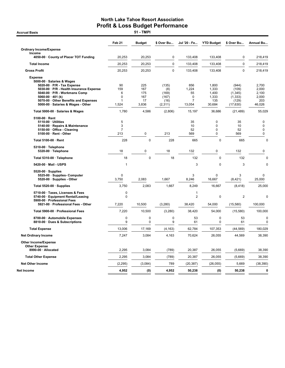**Accrual Basis** 

|                                                                                                                                                                                                                                                                        | Feb <sub>21</sub>                 | <b>Budget</b>                           | \$ Over Bu                                         | Jul '20 - Fe                                                  | <b>YTD Budget</b>                                        | \$ Over Bu                                                  | Annual Bu                                                   |
|------------------------------------------------------------------------------------------------------------------------------------------------------------------------------------------------------------------------------------------------------------------------|-----------------------------------|-----------------------------------------|----------------------------------------------------|---------------------------------------------------------------|----------------------------------------------------------|-------------------------------------------------------------|-------------------------------------------------------------|
| <b>Ordinary Income/Expense</b>                                                                                                                                                                                                                                         |                                   |                                         |                                                    |                                                               |                                                          |                                                             |                                                             |
| Income<br>4050-00 County of Placer TOT Funding                                                                                                                                                                                                                         | 20,253                            | 20,253                                  | 0                                                  | 133,408                                                       | 133,408                                                  | 0                                                           | 218,419                                                     |
| <b>Total Income</b>                                                                                                                                                                                                                                                    | 20,253                            | 20,253                                  | $\mathbf{0}$                                       | 133,408                                                       | 133,408                                                  | $\mathbf 0$                                                 | 218,419                                                     |
| <b>Gross Profit</b>                                                                                                                                                                                                                                                    | 20,253                            | 20,253                                  | $\mathbf 0$                                        | 133,408                                                       | 133,408                                                  | 0                                                           | 218,419                                                     |
| <b>Expense</b><br>5000-00 · Salaries & Wages<br>$5020-00 \cdot P/R$ - Tax Expense<br>5030-00 · P/R - Health Insurance Expense<br>5040-00 · P/R - Workmans Comp<br>5060-00 $\cdot$ 401 (k)<br>5070-00 Other Benefits and Expenses<br>5000-00 · Salaries & Wages - Other | 90<br>159<br>6<br>0<br>1<br>1,524 | 225<br>167<br>175<br>167<br>17<br>3,836 | (135)<br>(8)<br>(169)<br>(167)<br>(16)<br>(2, 311) | 856<br>1,224<br>55<br>$\mathbf 0$<br>$\overline{7}$<br>13,054 | 1,800<br>1,333<br>1,400<br>1,333<br>135<br>30,684        | (944)<br>(109)<br>(1,345)<br>(1, 333)<br>(129)<br>(17, 630) | 2,700<br>2,000<br>2,100<br>2,000<br>203<br>46,026           |
| Total 5000-00 · Salaries & Wages                                                                                                                                                                                                                                       | 1,780                             | 4,586                                   | (2,806)                                            | 15,197                                                        | 36,686                                                   | (21, 489)                                                   | 55,029                                                      |
| 5100-00 · Rent<br>5110-00 · Utilities<br>5140-00 · Repairs & Maintenance<br>5150-00 · Office - Cleaning<br>5100-00 · Rent - Other                                                                                                                                      | 5<br>3<br>7<br>213                | 0                                       | 213                                                | 35<br>10<br>52<br>569                                         | $\mathbf 0$<br>$\mathbf 0$<br>$\mathbf 0$<br>$\mathbf 0$ | 35<br>10<br>52<br>569                                       | $\overline{0}$<br>$\mathbf 0$<br>$\mathbf 0$<br>$\mathbf 0$ |
| Total 5100-00 · Rent                                                                                                                                                                                                                                                   | 228                               | $\mathbf 0$                             | 228                                                | 665                                                           | $\mathbf 0$                                              | 665                                                         | 0                                                           |
| 5310-00 · Telephone<br>5320-00 · Telephone                                                                                                                                                                                                                             | 18                                | 0                                       | 18                                                 | 132                                                           | $\mathbf 0$                                              | 132                                                         | 0                                                           |
| Total 5310-00 · Telephone                                                                                                                                                                                                                                              | 18                                | $\mathbf 0$                             | 18                                                 | 132                                                           | $\mathbf 0$                                              | 132                                                         | $\mathbf 0$                                                 |
| 5420-00 · Mail - USPS                                                                                                                                                                                                                                                  | 1                                 |                                         |                                                    | 3                                                             | $\mathbf 0$                                              | 3                                                           | 0                                                           |
| $5520-00 \cdot$ Supplies<br>5525-00 · Supplies- Computer<br>5520-00 · Supplies - Other                                                                                                                                                                                 | $\mathbf 0$<br>3,750              | 2,083                                   | 1,667                                              | 3<br>8,246                                                    | $\mathbf 0$<br>16,667                                    | 3<br>(8,421)                                                | 0<br>25,000                                                 |
| Total 5520-00 · Supplies                                                                                                                                                                                                                                               | 3,750                             | 2,083                                   | 1,667                                              | 8,249                                                         | 16,667                                                   | (8, 418)                                                    | 25,000                                                      |
| 5710-00 · Taxes, Licenses & Fees<br>5740-00 · Equipment Rental/Leasing<br>5900-00 · Professional Fees                                                                                                                                                                  | $\mathbf 0$<br>$\mathbf 0$        |                                         |                                                    | 1<br>$\overline{2}$                                           | $\pmb{0}$                                                | $\overline{2}$                                              | $\mathbf 0$                                                 |
| 5921-00 Professional Fees - Other                                                                                                                                                                                                                                      | 7,220                             | 10,500                                  | (3,280)                                            | 38,420                                                        | 54,000                                                   | (15,580)                                                    | 100,000                                                     |
| Total 5900-00 · Professional Fees                                                                                                                                                                                                                                      | 7,220                             | 10,500                                  | (3,280)                                            | 38,420                                                        | 54,000                                                   | (15,580)                                                    | 100,000                                                     |
| 8700-00 · Automobile Expenses<br>8810-00 · Dues & Subscriptions                                                                                                                                                                                                        | $\mathbf 0$<br>9                  | $\mathbf 0$<br>0                        | $\mathbf 0$<br>9                                   | 53<br>61                                                      | $\mathbf 0$<br>0                                         | 53<br>61                                                    | $\mathbf 0$<br>$\mathbf 0$                                  |
| <b>Total Expense</b>                                                                                                                                                                                                                                                   | 13,006                            | 17,169                                  | (4, 163)                                           | 62.784                                                        | 107,353                                                  | (44, 569)                                                   | 180.029                                                     |
| <b>Net Ordinary Income</b>                                                                                                                                                                                                                                             | 7,247                             | 3,084                                   | 4,163                                              | 70,624                                                        | 26,055                                                   | 44,569                                                      | 38,390                                                      |
| <b>Other Income/Expense</b><br><b>Other Expense</b>                                                                                                                                                                                                                    |                                   |                                         |                                                    |                                                               |                                                          |                                                             |                                                             |
| 8990-00 · Allocated                                                                                                                                                                                                                                                    | 2,295                             | 3,084                                   | (789)                                              | 20,387                                                        | 26,055                                                   | (5,669)                                                     | 38,390                                                      |
| <b>Total Other Expense</b>                                                                                                                                                                                                                                             | 2,295                             | 3,084                                   | (789)                                              | 20,387                                                        | 26,055                                                   | (5,669)                                                     | 38,390                                                      |
| <b>Net Other Income</b>                                                                                                                                                                                                                                                | (2, 295)                          | (3,084)                                 | 789                                                | (20, 387)                                                     | (26, 055)                                                | 5,669                                                       | (38, 390)                                                   |
| Net Income                                                                                                                                                                                                                                                             | 4,952                             | (0)                                     | 4,952                                              | 50,238                                                        | (0)                                                      | 50,238                                                      | 0                                                           |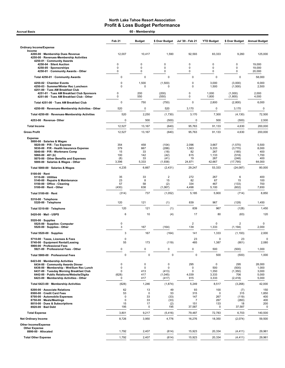| 60 - Membership<br><b>Accrual Basis</b>                                                                                                                                                                                                            |                                 |                                |                                        |                                                     |                                              |                                               |                                            |  |
|----------------------------------------------------------------------------------------------------------------------------------------------------------------------------------------------------------------------------------------------------|---------------------------------|--------------------------------|----------------------------------------|-----------------------------------------------------|----------------------------------------------|-----------------------------------------------|--------------------------------------------|--|
|                                                                                                                                                                                                                                                    | Feb <sub>21</sub>               | <b>Budget</b>                  | \$ Over Budget                         | Jul '20 Feb 21                                      | <b>YTD Budget</b>                            | \$ Over Budget                                | <b>Annual Budget</b>                       |  |
| <b>Ordinary Income/Expense</b>                                                                                                                                                                                                                     |                                 |                                |                                        |                                                     |                                              |                                               |                                            |  |
| Income<br>4200-00 · Membership Dues Revenue<br>4250-00 · Revenues-Membership Activities<br>4250-01 · Community Awards                                                                                                                              | 12,007                          | 10,417                         | 1,590                                  | 92,593                                              | 83,333                                       | 9,260                                         | 125,000                                    |  |
| 4250-04 · Silent Auction<br>4250-05 · Sponsorships<br>4250-01 Community Awards - Other                                                                                                                                                             | 0<br>0<br>0                     | 0<br>0<br>0                    | 0<br>$\mathbf 0$<br>0                  | $\pmb{0}$<br>$\mathbf 0$<br>$\mathbf 0$             | 0<br>0<br>0                                  | 0<br>0<br>0                                   | 19,000<br>19,000<br>20,000                 |  |
| Total 4250-01 · Community Awards                                                                                                                                                                                                                   | 0                               | 0                              | 0                                      | 0                                                   | 0                                            | 0                                             | 58,000                                     |  |
| 4250-02 · Chamber Events                                                                                                                                                                                                                           | 0                               | 1,500                          | (1,500)                                | $\mathbf 0$                                         | 3,000                                        | (3,000)                                       | 6,000                                      |  |
| 4250-03 · Summer/Winter Rec Luncheon<br>4251-00 · Tues AM Breakfast Club<br>4251-01 · Tues AM Breakfast Club Sponsors                                                                                                                              | $\Omega$<br>0                   | $\mathbf 0$<br>200             | 0<br>(200)                             | $\mathbf 0$<br>$\pmb{0}$                            | 1,500<br>1,000                               | (1,500)<br>(1,000)                            | 2,500<br>2,000                             |  |
| 4251-00 · Tues AM Breakfast Club - Other                                                                                                                                                                                                           | 0                               | 550                            | (550)                                  | $\mathbf 0$                                         | 1,800                                        | (1,800)                                       | 4,000                                      |  |
| Total 4251-00 · Tues AM Breakfast Club                                                                                                                                                                                                             | $\mathbf 0$                     | 750<br>0                       | (750)                                  | $\mathbf 0$                                         | 2,800<br>0                                   | (2,800)                                       | 6,000                                      |  |
| 4250-00 · Revenues-Membership Activities - Other                                                                                                                                                                                                   | 520<br>520                      | 2,250                          | 520                                    | 3,170<br>3,170                                      | 7,300                                        | 3,170                                         | 0<br>72,500                                |  |
| Total 4250-00 · Revenues-Membership Activities<br>4253-00 · Revenue- Other                                                                                                                                                                         | 0                               | 500                            | (1,730)                                | 0                                                   | 500                                          | (4, 130)                                      | 2,500                                      |  |
| <b>Total Income</b>                                                                                                                                                                                                                                | 12,527                          | 13,167                         | (500)                                  | 95,763                                              |                                              | (500)                                         | 200,000                                    |  |
| <b>Gross Profit</b>                                                                                                                                                                                                                                | 12,527                          | 13,167                         | (640)<br>(640)                         | 95,763                                              | 91,133<br>91,133                             | 4,630<br>4,630                                | 200,000                                    |  |
| <b>Expense</b>                                                                                                                                                                                                                                     |                                 |                                |                                        |                                                     |                                              |                                               |                                            |  |
| 5000-00 · Salaries & Wages<br>$5020-00 \cdot P/R$ - Tax Expense<br>5030-00 · P/R - Health Insurance Expense<br>5040-00 · P/R - Workmans Comp<br>5060-00 $\cdot$ 401 (k)<br>5070-00 · Other Benefits and Expenses                                   | 354<br>379<br>15<br>100<br>(8)  | 458<br>667<br>33<br>142<br>33  | (104)<br>(288)<br>(18)<br>(42)<br>(41) | 2,096<br>1,563<br>82<br>615<br>19                   | 3,667<br>5,333<br>267<br>1,133<br>267        | (1,570)<br>(3,770)<br>(185)<br>(518)<br>(248) | 5,500<br>8,000<br>400<br>1,700<br>400      |  |
| 5000-00 · Salaries & Wages - Other                                                                                                                                                                                                                 | 3,396                           | 5,333                          | (1,938)                                | 24,871                                              | 42,667                                       | (17, 795)                                     | 64,000                                     |  |
| Total 5000-00 · Salaries & Wages                                                                                                                                                                                                                   | 4,235                           | 6,667                          | (2, 431)                               | 29,247                                              | 53,333                                       | (24, 087)                                     | 80,000                                     |  |
| $5100-00 \cdot$ Rent<br>$5110-00 \cdot$ Utilities<br>5140-00 · Repairs & Maintenance<br>5150-00 · Office - Cleaning<br>5100-00 · Rent - Other                                                                                                      | 35<br>23<br>57<br>(430)         | 33<br>8<br>58<br>638           | $\overline{2}$<br>15<br>(2)<br>(1,067) | 272<br>82<br>334<br>4,498                           | 267<br>67<br>467<br>5,100                    | 6<br>15<br>(133)<br>(602)                     | 400<br>100<br>700<br>7,650                 |  |
| Total 5100-00 · Rent                                                                                                                                                                                                                               | (314)                           | 737                            | (1,052)                                | 5,185                                               | 5,900                                        | (714)                                         | 8,850                                      |  |
| 5310-00 · Telephone<br>5320-00 · Telephone                                                                                                                                                                                                         | 120                             | 121                            | (1)                                    | 839                                                 | 967                                          | (128)                                         | 1,450                                      |  |
| Total 5310-00 · Telephone                                                                                                                                                                                                                          | 120                             | 121                            | (1)                                    | 839                                                 | 967                                          | (128)                                         | 1,450                                      |  |
| 5420-00 · Mail - USPS                                                                                                                                                                                                                              | 6                               | 10                             | (4)                                    | 17                                                  | 80                                           | (63)                                          | 120                                        |  |
| $5520-00 \cdot$ Supplies<br>5525 00 · Supplies Computer<br>5520-00 · Supplies - Other                                                                                                                                                              | 0<br>3                          | 167                            | (164)                                  | $\overline{\mathbf{c}}$<br>139                      | 0<br>1,333                                   | 2<br>(1, 194)                                 | 0<br>2,000                                 |  |
| Total 5520-00 · Supplies                                                                                                                                                                                                                           | 3                               | 167                            | (164)                                  | 141                                                 | 1,333                                        | (1, 193)                                      | 2,000                                      |  |
| 5710-00 · Taxes, Licenses & Fees<br>5740-00 · Equipment Rental/Leasing                                                                                                                                                                             | $\mathbf 0$<br>55               | 173                            | (119)                                  | 23<br>485                                           | $\mathbf 0$<br>1,387                         | 23<br>(901)                                   | 0<br>2,080                                 |  |
| 5900-00 · Professional Fees<br>5921-00 · Professional Fees - Other                                                                                                                                                                                 | 0                               | $\pmb{0}$                      | 0                                      | 0                                                   | 500                                          | (500)                                         | 1,000                                      |  |
| Total 5900-00 · Professional Fees                                                                                                                                                                                                                  | $\mathbf 0$                     | $\mathbf 0$                    | $\mathbf 0$                            | $\mathbf 0$                                         | 500                                          | (500)                                         | 1,000                                      |  |
| 6423-00 · Membership Activities<br>6434-00 Community Awards Dinner<br>6436-00 · Membership - Wnt/Sum Rec Lunch<br>6437-00 · Tuesday Morning Breakfast Club<br>6442-00 · Public Relations/Website/Digita<br>6423-00 · Membership Activities - Other | 0<br>0<br>0<br>(628)<br>0       | 0<br>0<br>413<br>417<br>417    | 0<br>0<br>(413)<br>(1,045)<br>(417)    | 295<br>$\mathbf 0$<br>0<br>4,039<br>915             | 0<br>500<br>1,350<br>3,333<br>3,333          | 295<br>(500)<br>(1, 350)<br>706<br>(2, 418)   | 28,000<br>1,000<br>3,000<br>5,000<br>5,000 |  |
| Total 6423-00 · Membership Activities                                                                                                                                                                                                              | (628)                           | 1,246                          | (1,874)                                | 5,249                                               | 8,517                                        | (3,268)                                       | 42,000                                     |  |
| 8200-00 · Associate Relations<br>8500-00 · Credit Card Fees<br>8700-00 · Automobile Expenses<br>8750-00 · Meals/Meetings<br>8810-00 · Dues & Subscriptions<br>8920-00 · Bad Debt                                                                   | 62<br>53<br>0<br>0<br>15<br>195 | 13<br>0<br>33<br>33<br>17<br>0 | 49<br>53<br>(33)<br>(33)<br>(2)<br>195 | 93<br>315<br>147<br>$\overline{7}$<br>151<br>37,587 | 100<br>$\mathbf 0$<br>267<br>267<br>133<br>0 | (7)<br>315<br>(119)<br>(260)<br>18<br>37,587  | 150<br>1,850<br>400<br>400<br>200<br>0     |  |
| <b>Total Expense</b>                                                                                                                                                                                                                               | 3,801                           | 9,217                          | (5, 416)                               | 79,487                                              | 72,783                                       | 6,703                                         | 140,500                                    |  |
| <b>Net Ordinary Income</b>                                                                                                                                                                                                                         | 8,726                           | 3,950                          | 4,776                                  | 16,276                                              | 18,350                                       | (2,074)                                       | 59,500                                     |  |
| Other Income/Expense<br><b>Other Expense</b>                                                                                                                                                                                                       |                                 |                                |                                        |                                                     |                                              |                                               |                                            |  |
| 8990-00 · Allocated                                                                                                                                                                                                                                | 1,792                           | 2,407                          | (614)                                  | 15,923                                              | 20,334                                       | (4, 411)                                      | 29,961                                     |  |
| <b>Total Other Expense</b>                                                                                                                                                                                                                         | 1,792                           | 2,407                          | (614)                                  | 15,923                                              | 20,334                                       | (4, 411)                                      | 29,961                                     |  |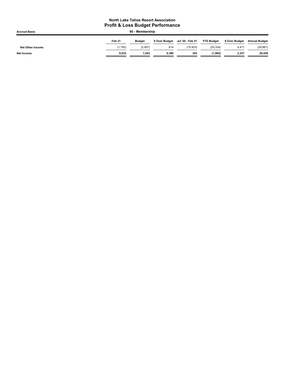| <b>Accrual Basis</b>    | 60 - Membership |               |                |                  |                   |                |                      |  |
|-------------------------|-----------------|---------------|----------------|------------------|-------------------|----------------|----------------------|--|
|                         | Feb 21          | <b>Budget</b> | \$ Over Budget | Jul '20 - Feb 21 | <b>YTD Budget</b> | \$ Over Budget | <b>Annual Budget</b> |  |
| <b>Net Other Income</b> | (1,792)         | (2, 407)      | 614            | (15.923)         | (20, 334)         | 4.411          | (29, 961)            |  |
| <b>Net Income</b>       | 6.933           | 1.543         | 5.390          | 353              | (1,984)           | 2,337          | 29,539               |  |